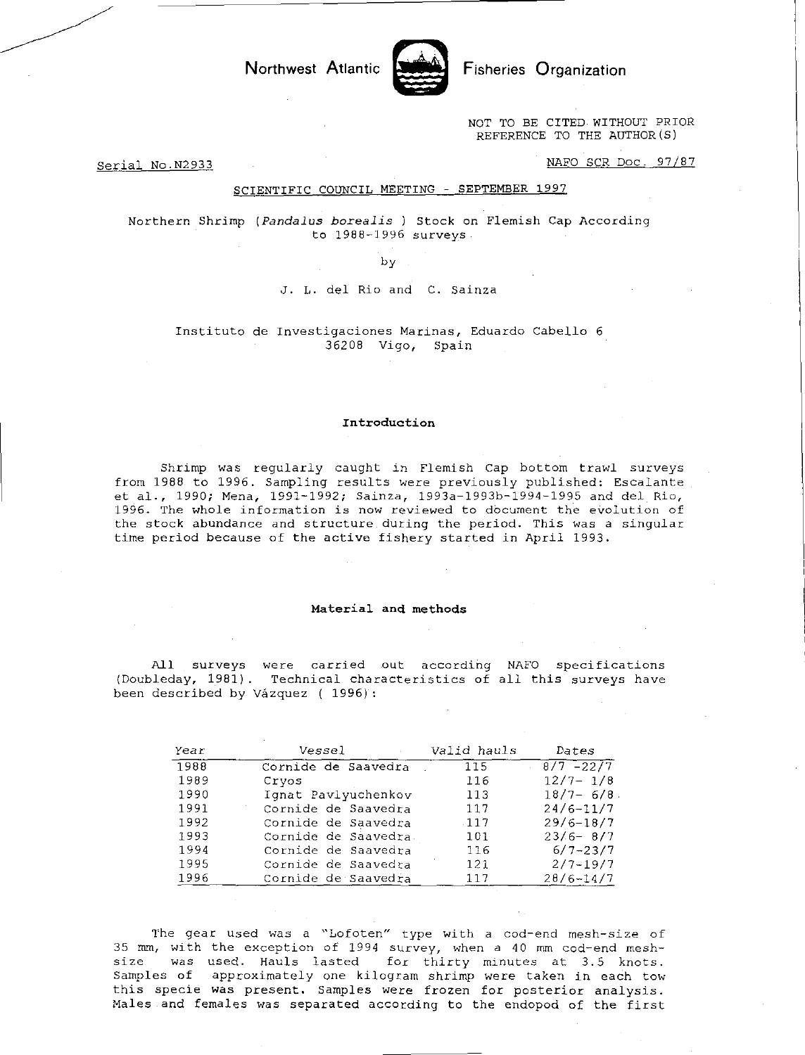NOT TO BE CITED WITHOUT PRIOR REFERENCE TO THE AUTHOR(S)

Serial No.N2933 NAFO SCR Doc. 97/87

#### SCIENTIFIC COUNCIL MEETING - SEPTEMBER 1997

Northwest Atlantic **Notified** Fisheries Organization

Northern Shrimp *(Pandalus borealis ) Stock on* Flemish Cap According to 1988-1996 surveys

by

J. L. del Rio and C. Sainza

Instituto de Investigaciones Marinas, Eduardo Cabello 6 36208 Vigo, Spain

### Introduction

Shrimp was regularly caught in Flemish Cap bottom trawl surveys from 1988 to 1996. Sampling results were previously published: Escalante et al., 1990; Mena, 1991-1992; Sainza, 1993a-1993b-1994-1995 and del Rio, 1996. The whole information is now reviewed to document the evolution of the stock abundance and structure during the period. This was a singular time period because of the active fishery started in April 1993.

#### Material and methods

All surveys were carried out according NAFO specifications (Doubleday, 1981). Technical characteristics of all this surveys have been described by Vazquez ( 1996):

| Year | Vessel              | Valid hauls | Dates          |
|------|---------------------|-------------|----------------|
| 1988 | Cornide de Saavedra | 115         | $8/7 - 22/7$   |
| 1989 | Cryos               | 116         | $12/7 - 1/8$   |
| 1990 | Ignat Pavlyuchenkov | 113         | $18/7 - 6/8$ . |
| 1991 | Cornide de Saavedra | 117         | $24/6 - 11/7$  |
| 1992 | Cornide de Saavedra | $-117$      | $29/6 - 18/7$  |
| 1993 | Cornide de Saavedra | 101         | $23/6 - 8/7$   |
| 1994 | Cornide de Saavedra | 116         | $6/7 - 23/7$   |
| 1995 | Cornide de Saavedra | 121         | $2/7 - 19/7$   |
| 1996 | Cornide de Saavedra | 117         | $28/6 - 14/7$  |

The gear used was a "Lofoten" type with a cod-end mesh-size of 35 mm, with the exception of 1994 survey, when a 40 mm cod-end meshsize was used. Hauls lasted for thirty minutes at 3.5 knots. Samples of approximately one kilogram shrimp were taken in each tow this specie was present. Samples were frozen for posterior analysis. Males and females was separated according to the endopod of the first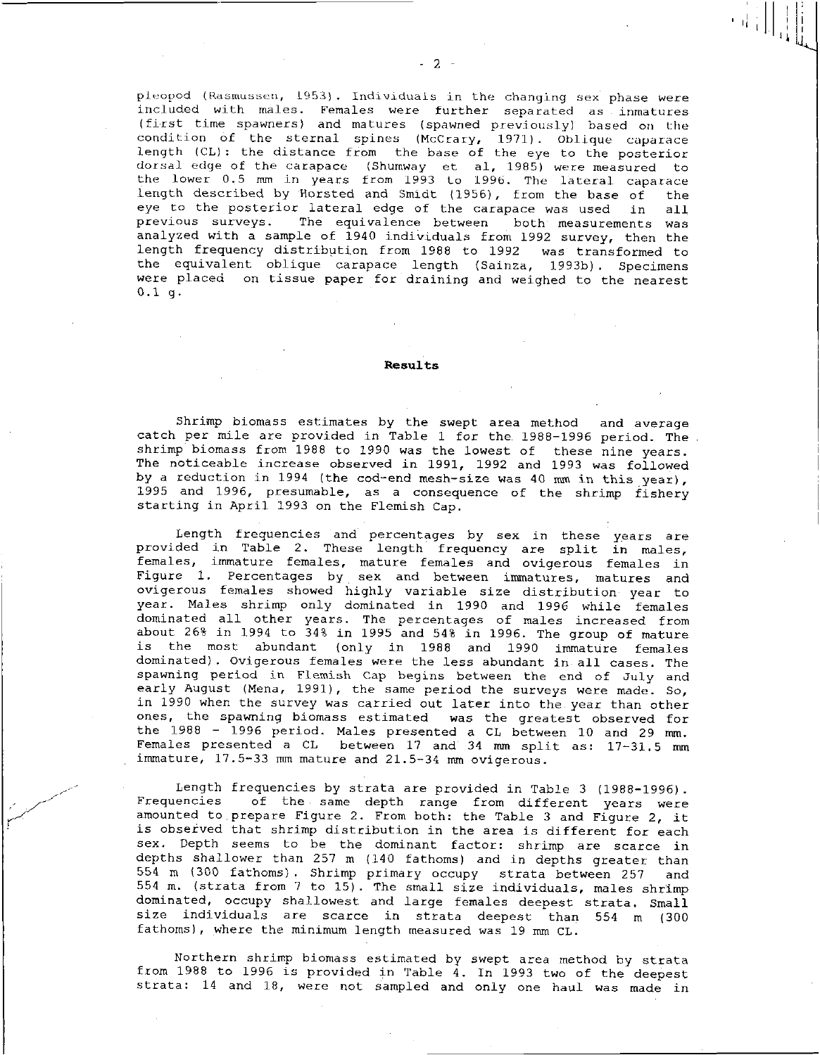pleopod (Rasmussen, 1953). Individuals in the changing sex phase were included with males. Females were further separated as inmatures (first time spawners) and matures (spawned previously) based on the condition of the sternal spines (McCrary, 1971). Oblique caparace length (CL) : the distance from the base of the eye to the posterior dorsal edge of the carapace (Shumway et al, 1985) were measured to the lower 0.5 mm in years from 1993 to 1996. The lateral caparace length described by Horsted and Smidt (1956), from the base of the<br>eye to the posterior lateral edge of the carapace was used in all eye to the posterior lateral edge of the carapace was used in previous surveys. The equivalence between both measurements The equivalence between both measurements was analyzed with a sample of 1940 individuals from 1992 survey, then the length frequency distribution from 1988 to 1992 was transformed to the equivalent oblique carapace length (Sainza, 1993b). Specimens were placed on tissue paper for draining and weighed to the nearest 0.1 g.

#### Results

Shrimp biomass estimates by the swept area method and average catch per mile are provided in Table 1 for the 1988-1996 period. The shrimp biomass from 1988 to 1990 was the lowest of these nine years. The noticeable increase observed in 1991, 1992 and 1993 was followed by a reduction in 1994 (the cod-end mesh-size was 40 mm in this year), 1995 and 1996, presumable, as a consequence of the shrimp fishery starting in April 1993 on the Flemish Cap.

Length frequencies and percentages by sex in these years are provided in Table 2. These length frequency are split in males, females, immature females, mature females and ovigerous females in Figure 1. Percentages by sex and between immatures, matures and ovigerous females showed highly variable size distribution year to year. Males shrimp only dominated in 1990 and 1996 while females dominated all other years. The percentages of males increased from about 26% in 1994 to 34% in 1995 and 54% in 1996. The group of mature is the most abundant (only in 1988 and 1990 immature females dominated). Ovigerous females were the less abundant in all cases. The spawning period in Flemish Cap begins between the end of July and early August (Mena, 1991), the same period the surveys were made. So, in 1990 when the survey was carried out later into the year than other ones, the spawning biomass estimated was the greatest observed for the 1988 - 1996 period. Males presented a CL between 10 and 29 mm. Females presented a CL between 17 and 34 mm split as: 17-31.5 mm immature, 17.5-33 mm mature and 21.5-34 mm ovigerous.

Length frequencies by strata are provided in Table 3 (1988-1996). Frequencies of the same depth range from different years were amounted to prepare Figure 2. From both: the Table 3 and Figure 2, it is observed that shrimp distribution in the area is different for each sex. Depth seems to be the dominant factor: shrimp are scarce in depths shallower than 257 m (140 fathoms) and in depths greater than 554 m (300 fathoms). Shrimp primary occupy strata between 257 and 554 m. (strata from 7 to 15). The small size individuals, males shrimp dominated, occupy shallowest and large females deepest strata. Small size individuals are scarce in strata deepest than 554 m (300 fathoms), where the minimum length measured was 19 mm CL.

Northern shrimp biomass estimated by swept area method by strata from 1988 to 1996 is provided in Table 4. In 1993 two of the deepest strata: 14 and 18, were not sampled and only one haul was made in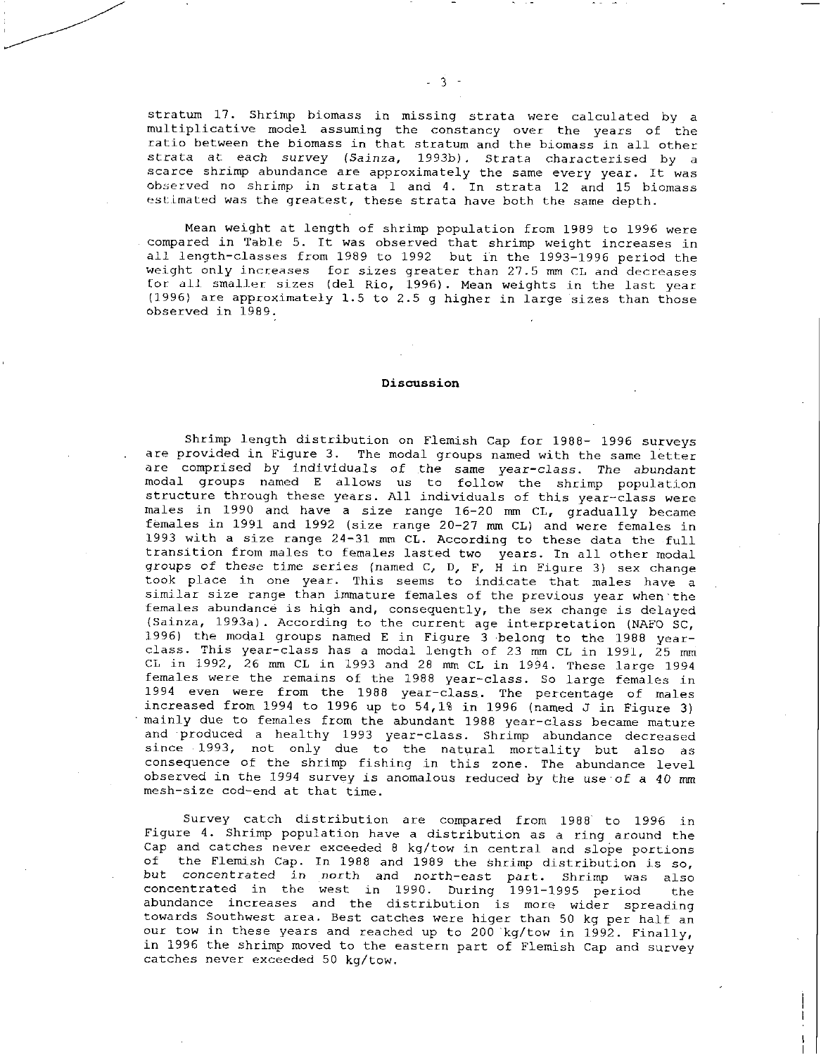stratum 17. Shrimp biomass in missing strata were calculated by <sup>a</sup> multiplicative model assuming the constancy over the years of the ratio between the biomass in that stratum and the biomass in all other strata at each *survey* (Sainza, 1993b). Strata characterised by a scarce shrimp abundance are approximately the same every year. It was observed no shrimp in strata 1 and 4. In strata 12 and 15 biomass estimated was the greatest, these strata have both the same depth.

Mean weight at length of shrimp population from 1989 to 1996 were compared in Table 5. It was observed that shrimp weight increases in all length-classes from 1989 to 1992 but in the 1993-1996 period the weight only increases for sizes greater than 27.5 mm CL and decreases for all smaller sizes (del Rio, 1996). Mean weights in the last year (1996) are approximately 1.5 to 2.5 g higher in large sizes than those observed in 1989.

#### Discussion

Shrimp length distribution on Flemish Cap for 1988- 1996 surveys are provided in Figure 3. The modal groups named with the same letter are comprised by individuals of the same year-class. The abundant modal groups named E allows us to follow the shrimp population structure through these years. All individuals of this year-class were males in 1990 and have a size range 16-20 mm CL, gradually became females in 1991 and 1992 (size range 20-27 mm CL) and were females in 1993 with a size range 24-31 mm CL. According to these data the full transition from males to females lasted two years. In all other modal *groups of* these time series (named C, D, F, H in Figure 3) sex change took place in one year. This seems to indicate that males have a similar size range than immature females of the previous year when the females abundance is high and, consequently, the sex change is delayed (Sainza, 1993a). According to the current age interpretation (NAFO SC, 1996) the modal groups named E in Figure 3 belong to the 1988 yearclass. This year-class has a modal length of 23 mm CL in 1991, 25 mm CL in 1992, 26 mm CL in 1993 and 28 mm CL in 1994. These large 1994 females were the remains of the 1988 year-class. So large females in 1994 even were from the 1988 year-class. The percentage of males increased from 1994 to 1996 up to  $54,18$  in 1996 (named J in Figure 3) mainly due to females from the abundant 1988 year-class became mature and produced a healthy 1993 year-class. Shrimp abundance decreased since 1993, not only due to the natural mortality but also as consequence of the shrimp fishing in this zone. The abundance level observed in the 1994 survey is anomalous reduced by the use of a 40 mm mesh-size cod-end at that time.

Survey catch distribution are compared from 1988 to 1996 in Figure 4. Shrimp population have a distribution as a ring around the Cap and catches never exceeded 8 kg/tow in central and slope portions of the Flemish Cap. In 1988 and 1989 the Shrimp distribution is so, but concentrated in north and north-east part. Shrimp was also concentrated in the west in 1990. During 1991-1995 period the abundance increases and the distribution is more wider spreading towards Southwest area. Best catches were higer than 50 kg per half an our tow in these years and reached up to 200 'kg/tow in 1992. Finally, in 1996 the shrimp moved to the eastern part of Flemish Cap and survey catches never exceeded 50 kg/tow.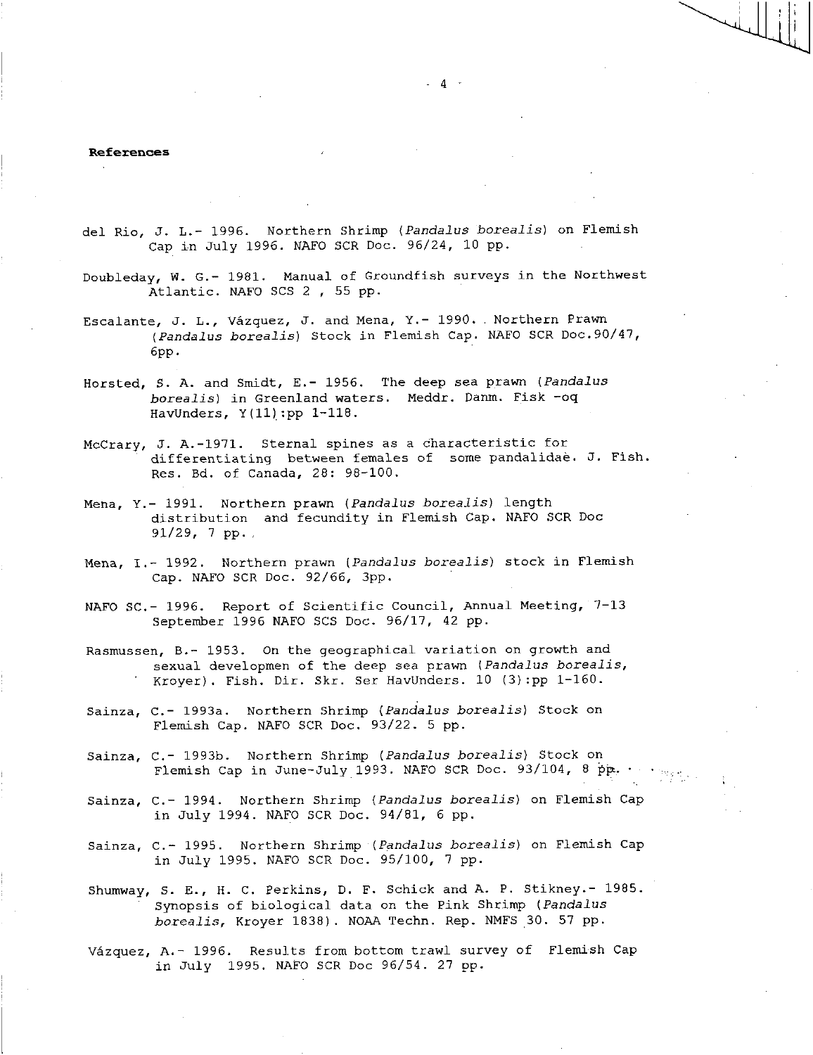#### References

- del Rio, J. L.- 1996. Northern Shrimp *(Pandalus borealis)* on Flemish Cap in July 1996. NAFO SCR Doc. 96/24, 10 pp.
- Doubleday, W. G.- 1981. Manual of Groundfish surveys in the Northwest Atlantic. NAFO SCS 2 , 55 pp.
- Escalante, J. L., Vázquez, J. and Mena, Y.- 1990. Northern Prawn *(Pandalus borealis)* Stock in Flemish Cap. NAFO SCR Doc.90/47, 6pp.
- Horsted, S. A. and Smidt, E.- 1956. The deep sea prawn *(Pandalus borealis)* in Greenland waters. Meddr. Danm. Fisk -oq HavUnders, Y(11):pp 1-118.
- McCrary, J. A.-1971. Sternal spines as a characteristic for differentiating between females of some pandalidae. J. Fish. Res. Bd. of Canada, 28: 98-100.
- Mena, Y.- 1991. Northern prawn *(Pandalus borealis)* length distribution and fecundity in Flemish Cap. NAFO SCR Doc 91/29, 7 pp.
- Mena, I.- 1992. Northern prawn *(Pandalus borealis)* stock in Flemish Cap. NAFO SCR Doc. 92/66, 3pp.
- NAFO SC.- 1996. Report of Scientific Council, Annual Meeting, 7-13 September 1996 NAFO SCS Doc. 96/17, 42 pp.
- Rasmussen, B.- 1953. On the geographical variation on growth and sexual developmen of the deep sea prawn *(Pandalus borealis,*  Kroyer). Fish. Dir. Skr. Ser HavUnders. 10 (3):pp 1-160.
- Sainza, C.- 1993a. Northern Shrimp *(Pandalus borealis)* Stock on Flemish Cap. NAFO SCR Doc. 93/22. 5 pp.
- Sainza, C.- 1993b. Northern Shrimp *(Pandalus borealis)* Stock on Flemish Cap in June-July 1993. NAFO SCR Doc. 93/104, 8 pp.
- Sainza, C.- 1994. Northern Shrimp *(Pandalus borealis)* on Flemish Cap in July 1994. NAFO SCR Doc. 94/81, 6 pp.
- Sainza, C.- 1995. Northern Shrimp *(Pandalus borealis)* on Flemish Cap in July 1995. NAFO SCR Doc. 95/100, 7 pp.

Shumway, S. E., H. C. Perkins, D. F. Schick and A. P. Stikney.- 1985. Synopsis of biological data on the Pink Shrimp *(Pandalus borealis,* Kroyer 1838). NOAA Techn. Rep. NMFS 30. 57 pp.

Vazquez, A.- 1996. Results from bottom trawl survey of Flemish Cap in July 1995. NAFO SCR Doc 96/54. 27 pp.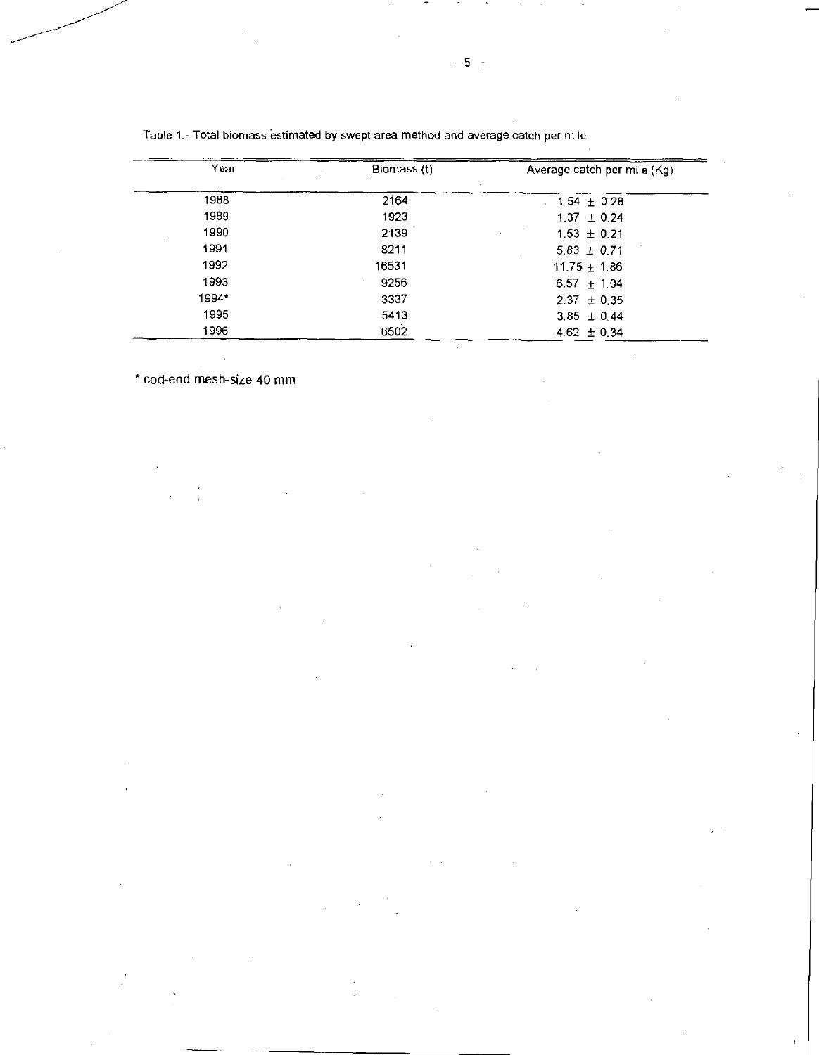| Year  | Biomass (t) | Average catch per mile (Kg) |
|-------|-------------|-----------------------------|
| 1988  | 2164        | $1.54 \pm 0.28$             |
| 1989  | 1923        | $1.37 \pm 0.24$             |
| 1990  | 2139        | $1.53 \pm 0.21$             |
| 1991  | 8211        | $5.83 \pm 0.71$             |
| 1992  | 16531       | $11.75 \pm 1.86$            |
| 1993  | 9256        | $6.57 \pm 1.04$             |
| 1994* | 3337        | $2.37 \pm 0.35$             |
| 1995  | 5413        | $3.85 \pm 0.44$             |
| 1996  | 6502        | $4.62 \pm 0.34$             |

Table 1.- Total biomass estimated by swept area method and average catch per mile

cod-end mesh-size 40 mm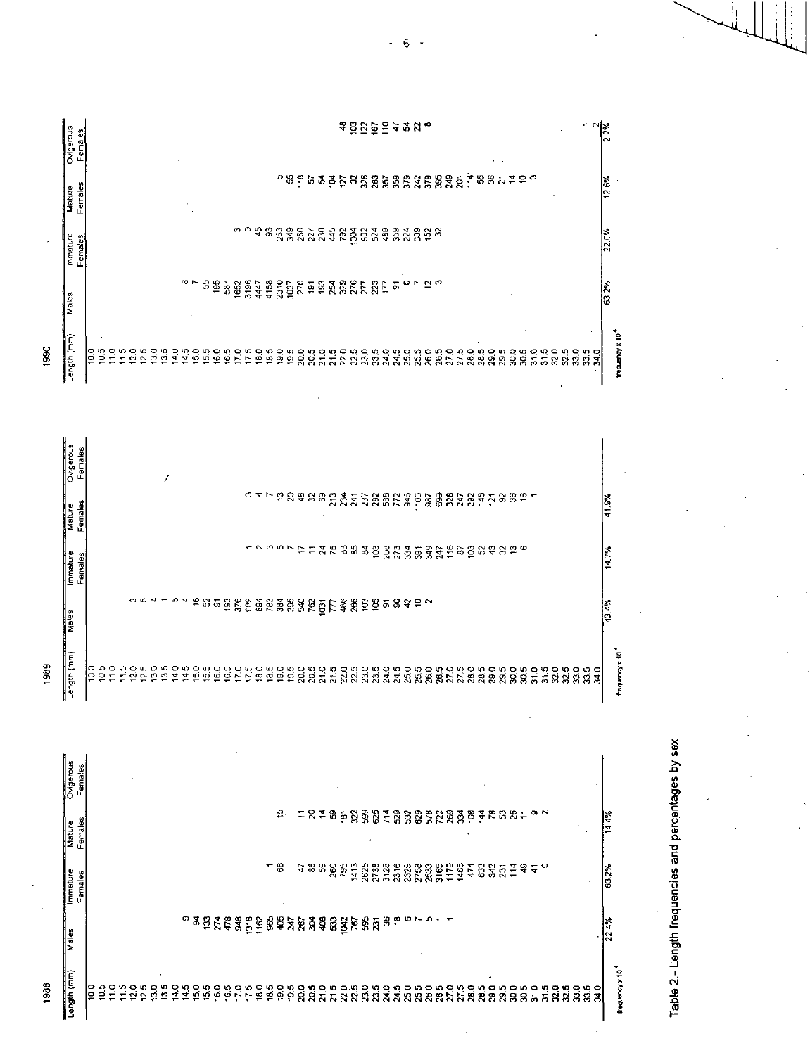|      | Ovigeraus<br>Females        |    |               |  |     |                  |               |               |               |            |            |    |               |     |      |      |    |   |             |                                                                                                                                                                                                                                |  | ទទួដ្ឋទូទ្នងនុក |  |     |  |  |                              |    |                       |      |      |      |            |               |            |
|------|-----------------------------|----|---------------|--|-----|------------------|---------------|---------------|---------------|------------|------------|----|---------------|-----|------|------|----|---|-------------|--------------------------------------------------------------------------------------------------------------------------------------------------------------------------------------------------------------------------------|--|-----------------|--|-----|--|--|------------------------------|----|-----------------------|------|------|------|------------|---------------|------------|
|      | Females<br>Mature           |    |               |  |     |                  |               |               |               |            |            |    |               |     |      |      |    |   |             | <u>ពងទី ២ ទន្ទី ២ មន្ត្រី មន្ត្រី មន្ត្រី មន្ត្រី មន្ត្រី មន្ត្រី មន្ត្រី</u>                                                                                                                                                  |  |                 |  |     |  |  |                              |    | $\tilde{a}$           | ဓ္   |      |      |            |               |            |
|      | mmature<br>Females          |    |               |  |     |                  |               |               |               |            |            |    |               |     |      |      |    |   |             |                                                                                                                                                                                                                                |  |                 |  |     |  |  |                              |    |                       |      |      |      |            |               |            |
|      | Males                       |    |               |  |     |                  |               |               |               | $\infty$ N |            |    |               |     |      |      |    |   |             | <u>ងនិន្ទិដូចខ្ពុំដូចខ្ពុំមាននិងមន្ទីដី មាន ១. ត. ត</u>                                                                                                                                                                        |  |                 |  |     |  |  |                              |    |                       |      |      |      |            |               |            |
| 1990 | Length (mm)                 | ρg | $\frac{5}{2}$ |  | 2.0 | $\overline{2.5}$ | $\frac{8}{2}$ | $\frac{5}{2}$ | $\frac{1}{4}$ | Ş          | S.O<br>5.5 | 60 | $\frac{0}{9}$ | 7.0 | 17.5 | 18.0 |    |   |             | sonongngngng<br>PPPRRTRRRRRX                                                                                                                                                                                                   |  |                 |  |     |  |  | nononononono<br>ARRRANARRARA |    |                       | 30.5 | 31.0 | 31.5 | 325<br>325 | $\frac{0}{2}$ | ន្ល<br>និង |
|      | Ovigerous<br>Females        |    |               |  |     |                  |               | 1             |               |            |            |    |               |     |      |      |    |   |             |                                                                                                                                                                                                                                |  |                 |  |     |  |  |                              |    |                       |      |      |      |            |               |            |
|      | Females<br>Mature<br>Mature |    |               |  |     |                  |               |               |               |            |            |    |               |     |      | いっと  | ÷, | g | <b>\$88</b> | <b>CARDRESE</b>                                                                                                                                                                                                                |  |                 |  | 987 |  |  | 883825                       | 98 |                       | €    |      |      |            |               |            |
|      | Immature<br>Females         |    |               |  |     |                  |               |               |               |            |            |    |               |     |      |      |    |   |             |                                                                                                                                                                                                                                |  |                 |  |     |  |  |                              |    | 打打好方的的时间的打动的地球作用的名词复数 |      |      |      |            |               |            |
|      | Males                       |    |               |  |     |                  |               |               | ю             |            |            |    |               |     |      |      |    |   |             | ្ត្រី កូន និង មន្ត្រី មន្ត្រី មន្ត្រី មន្ត្រី កូន មន្ត្រី កូន មន្ត្រី មន្ត្រី មន្ត្រី មន្ត្រី មន្ត្រី មន្ត្រី<br>ត្រូវ មន្ត្រី មន្ត្រី មន្ត្រី មន្ត្រី មន្ត្រី មន្ត្រី មន្ត្រី មន្ត្រី មន្ត្រី មន្ត្រី មន្ត្រី មន្ត្រី មន្ត្រី |  |                 |  |     |  |  |                              |    |                       |      |      |      |            |               |            |

១១០<br>១១០

Length (mm) 1989

1988

ခြ မှ ၁<br>ခြ ခို ၁

Portgerous<br>Females  $\frac{10}{2}$ 14.4% Mature<br>Females 8 63.2% **Immature**<br>Females  $\frac{32.4\%}{2.4\%}$ **Males** frequency x 10<sup>4</sup> Length (mm) 

o no no no no no no no no no no no<br>5 5 8 8 8 8 7 8 8 9 8 9 8 7 8 9 9 9 9 9 9 5

Table 2.- Length frequencies and percentages by sex

 $2.3%$ 

12.6%

22.0%

|<br>೧೧ ೧೫<br>|

frequency x 10<sup>4</sup>

 $\frac{1}{2}$ 

14.7%

43.4%

frequency x 10<sup>4</sup>

588888

 $6 -$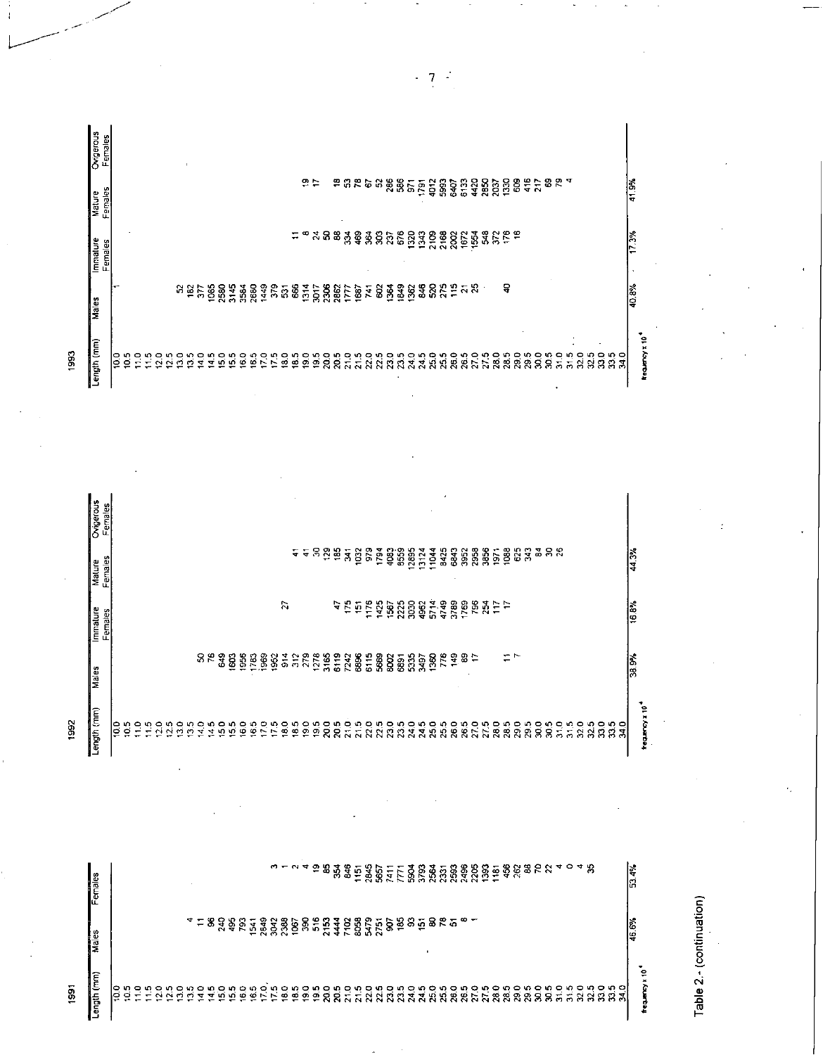|             | Ovigerous<br>Females |              |         |                          |             |             |              |        |        |            |         |             |                     |                       |              |                 |      |               |              |                                                            |                                     |      |               |      |                   |       |                | $\epsilon$           |          |                      |      |      |                      |                          |                      |         |         |                      |      |  |                      |                     |        |
|-------------|----------------------|--------------|---------|--------------------------|-------------|-------------|--------------|--------|--------|------------|---------|-------------|---------------------|-----------------------|--------------|-----------------|------|---------------|--------------|------------------------------------------------------------|-------------------------------------|------|---------------|------|-------------------|-------|----------------|----------------------|----------|----------------------|------|------|----------------------|--------------------------|----------------------|---------|---------|----------------------|------|--|----------------------|---------------------|--------|
|             | Females<br>Mature    |              |         |                          |             |             |              |        |        |            |         |             |                     |                       |              | ÷               | 도움   | $\frac{5}{2}$ | 185          | $\overline{\mathbf{a}}$                                    | $\ddot{\rm g}$                      | 679  | $\frac{5}{2}$ | \$3  | 8559              | 12895 | 13124<br>11044 | 3425                 | 33       | 3952                 | 2958 | 3856 | 1971                 | 388                      | 625<br>$\frac{3}{3}$ | នីនីនី  |         |                      |      |  |                      | $\frac{44.3\%}{25}$ |        |
|             | Immature<br>Females  |              |         |                          |             |             |              |        |        |            |         |             |                     |                       | F,           |                 |      |               |              | n,<br>45                                                   |                                     |      |               |      | 5288888           |       |                | 2.48<br>2.49<br>2.49 |          | 1769                 | E 54 |      | ココ<br>$\overline{ }$ |                          |                      |         |         |                      |      |  |                      | is<br>S             |        |
|             | Males                |              |         |                          |             |             |              |        | 85     | <b>S49</b> | 1603    | 1956        | 1969<br>1783        | 1952                  |              | $\frac{36}{25}$ |      | 1278<br>3165  |              | 6119<br>C <sub>2</sub><br>C <sub>2</sub><br>C <sub>2</sub> |                                     | 6115 | 5669          | 8002 | 6891              | 5335  | 1360<br>3497   |                      | 778<br>옥 | $\frac{6}{5}$        |      |      |                      | $\overline{\phantom{0}}$ |                      |         |         |                      |      |  |                      | 38.3%               |        |
| <b>1992</b> | ength (mm)           | ခြ ၁<br>ခြ ၁ | $\circ$ | $\overline{\phantom{0}}$ | 0<br>$\sim$ | ю<br>$\sim$ | o<br>W,<br>C | 0<br>₹ | ഹ<br>4 | ۰<br>n     | ю<br>n, | <b>16.0</b> | ю<br>$\ddot{\circ}$ | 9<br>w<br>$z \approx$ | $\circ$<br>ē | u0<br>ஜ         | 19.0 | 19.5          | 20.0<br>20.5 | P,                                                         | ယ္<br>$\overline{N}$ $\overline{N}$ |      |               |      | iangnon<br>RRRRAA |       |                | ន្តអូន<br>ងង់ន       |          | 10<br>$\overline{8}$ | 27.5 |      | 28.0                 | 28.5<br>29.0             | 29.5                 | ន្លឹន្ល | P,<br>云 | m,<br>$\overline{5}$ | 32.0 |  | n 0 5 9 0<br>2 2 2 3 |                     | Ç<br>g |

|    | Ovigerous<br>Females |        |                    |                               |                               |                        |              |        |        |        |                           |         |        |        |        |                     |               |                               |               |                 |        |                    |                  |                                              |              |                             |                                           |                                      |               |      |          |                 |              |        |                  |      |      |                |                 |             |                  |                                      |      |      |              |   |               |
|----|----------------------|--------|--------------------|-------------------------------|-------------------------------|------------------------|--------------|--------|--------|--------|---------------------------|---------|--------|--------|--------|---------------------|---------------|-------------------------------|---------------|-----------------|--------|--------------------|------------------|----------------------------------------------|--------------|-----------------------------|-------------------------------------------|--------------------------------------|---------------|------|----------|-----------------|--------------|--------|------------------|------|------|----------------|-----------------|-------------|------------------|--------------------------------------|------|------|--------------|---|---------------|
|    | Females<br>Mature    |        |                    |                               |                               |                        |              |        |        |        |                           |         |        |        |        |                     |               |                               | 유누            |                 |        | 유<br>٠             | G                | 문                                            | 능            | ិ                           | 286<br>586                                | $\overline{5}$                       | $\frac{5}{1}$ | 4012 | 593      | 6407            | 6132         | 4420   | 2850<br>2037     | 1330 | 8    | $\frac{16}{4}$ | $\overline{z}$  | 8           |                  | ৎ শ                                  |      |      |              |   | $\frac{1}{2}$ |
|    | Immature<br>Females  |        |                    |                               |                               |                        |              |        |        |        |                           |         |        |        |        |                     |               | $\overline{\phantom{0}}$<br>÷ | ∞             | रु              | ႜ      | 3                  | $\frac{3}{2}$    | 9                                            | 364          | ន្ល                         | $\frac{27}{676}$                          | 1320                                 | 1343          | 2109 |          | 2188            |              | 1554   | 885 E E          |      |      |                |                 |             |                  |                                      |      |      |              |   | ြိ<br>F       |
|    | Males                | i٣     |                    |                               |                               |                        |              | ងនិង   |        |        | <b>0884388</b><br>0884588 |         |        |        | 1449   | 379                 | 586           |                               | 1314          | 3017<br>2306    |        | 2862               | $\overline{177}$ | 1687                                         | $\mathbf{r}$ | 8                           | Š<br>849<br>÷<br>$\overline{\phantom{a}}$ | 362<br>÷                             | \$46          | 32   |          | $\frac{25}{15}$ | $\approx 25$ | w      |                  |      | ទ    |                |                 |             |                  |                                      |      |      |              |   | $\frac{1}{2}$ |
| 39 | ength (mm)           | o<br>ē | ۱n<br>$\circ$<br>↽ | 0<br>$\overline{\phantom{a}}$ | က<br>$\overline{\phantom{a}}$ | 0<br>ю<br>$\sim$<br>្ម | $\circ$<br>ొ | m<br>₽ | P<br>4 | m<br>ᢦ | $\circ$<br>ທ              | ທຸ<br>≌ | Q<br>Φ | ю<br>ø | R<br>⊵ | ю<br>$\overline{ }$ | $\frac{0}{2}$ | m<br>₽                        | $\frac{0}{2}$ | $\frac{9.5}{2}$ | Q<br>g | ю<br>$\mathcal{R}$ | o,<br>품          | ŗ٩<br>$\overline{\phantom{0}}$<br>$^{\circ}$ | ę<br>ន       | v.<br>$\tilde{\mathcal{E}}$ | P<br>ന<br>ಔ<br>R.                         | $\circ$<br>₹<br>$\tilde{\mathbf{Q}}$ | n,<br>ूप      | 25.0 | v,<br>ಸಿ | 26.0            | 26.5         | ۹<br>2 | 28.0<br>က္<br>E. | 28.5 | 29.0 | 29.5           | $\overline{30}$ | <b>30.5</b> | å<br>$\sim$<br>٠ | iņ.<br>$\overline{\phantom{0}}$<br>ന | 32.0 | 32.5 | ន្លង់<br>. റ | Z |               |



Table 2.- (continuation)

 $7<sup>2</sup>$ L,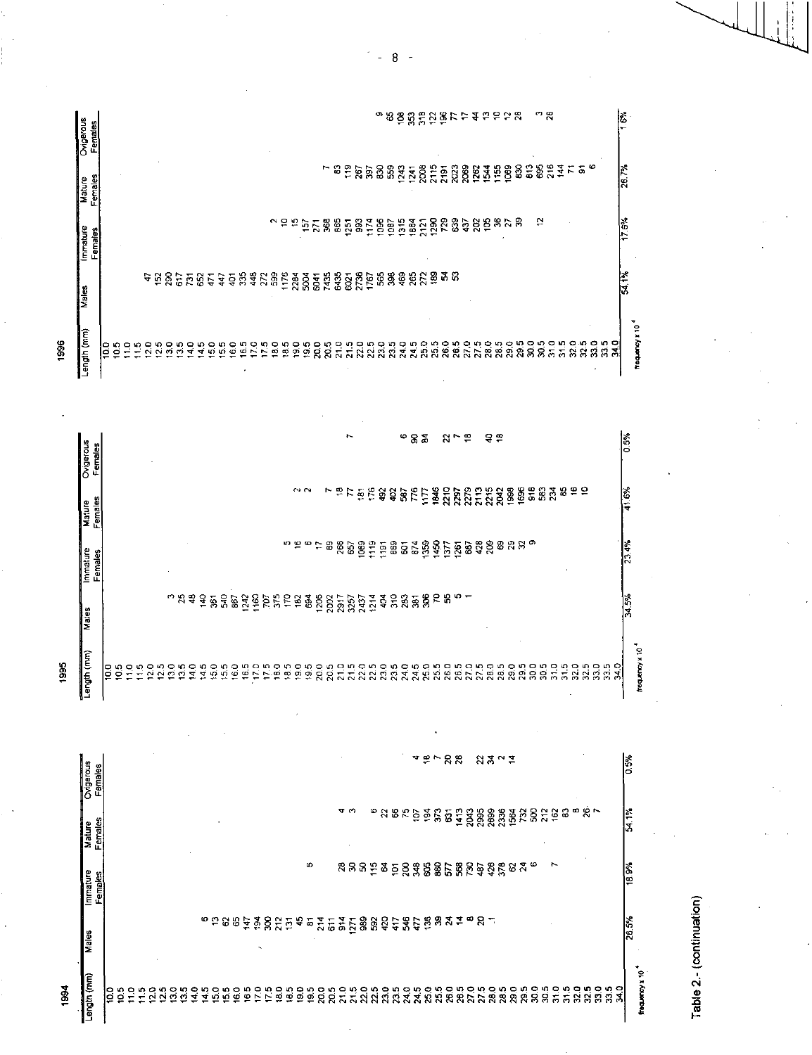| Ovigeraus<br><b>Females</b> |   |                                |    |               |               |         |    |               |               |               |     |               |                        |     |      |      |      |               |      |                                                                                                                                                                                                                               |      |      |             |     | σ                                                                                                                                                      |              |        |      |               |      |      | <b>ខេត្តដ៏ភិ</b> ឌី <i>២</i> ៩ ៩ ៦ ៦ ៩ ៩ |                |      |      |       |               | ా ఇ  |               |      |              |      |               |                 | $\frac{1}{2}$           |
|-----------------------------|---|--------------------------------|----|---------------|---------------|---------|----|---------------|---------------|---------------|-----|---------------|------------------------|-----|------|------|------|---------------|------|-------------------------------------------------------------------------------------------------------------------------------------------------------------------------------------------------------------------------------|------|------|-------------|-----|--------------------------------------------------------------------------------------------------------------------------------------------------------|--------------|--------|------|---------------|------|------|------------------------------------------|----------------|------|------|-------|---------------|------|---------------|------|--------------|------|---------------|-----------------|-------------------------|
| Females<br><b>Mature</b>    |   |                                |    |               |               |         |    |               |               |               |     |               |                        |     |      |      |      |               |      |                                                                                                                                                                                                                               | ន    |      |             |     | ទី និងនិងដូន                                                                                                                                           |              |        |      | 2115          | 2191 |      | <u>ន្តន្តទី ឆ្នូ</u>                     |                |      |      | 88    |               | 85   | $216$<br>$14$ |      | 55           |      | o             |                 | 26.7%                   |
| Immature<br>Females         |   |                                |    |               |               |         |    |               |               |               |     |               |                        |     |      | ្តុ  | ÷    |               |      |                                                                                                                                                                                                                               |      |      |             |     |                                                                                                                                                        |              |        |      |               |      |      |                                          |                |      |      |       |               | t,   |               |      |              |      |               |                 | $\frac{17.69}{17.69}$   |
| Males                       |   |                                |    | 47            | 152           | និទ្ធិន |    |               | $\frac{3}{4}$ |               | 447 | $\frac{5}{3}$ | 448                    |     | 272  | 1176 |      |               |      | ង្គុទ្ធ មួយ ដូច្នេះ មន្ត្រី មិន មិន<br>ដូច្នេះ មិន មិន ដូច្នេះ                                                                                                                                                                |      |      |             |     |                                                                                                                                                        |              |        | 272  | $\frac{3}{2}$ | ិ និ |      |                                          |                |      |      |       |               |      |               |      |              |      |               |                 | $\frac{1}{2}$           |
| Length (mm)                 | Ξ | $\frac{1}{2}$<br>$\frac{5}{2}$ | 47 | $\frac{0}{2}$ | $\frac{5}{2}$ | នី      | 35 | $\frac{0}{4}$ | $\frac{1}{4}$ | $\frac{0}{2}$ | ះ   | 60            | 6.5<br>$\overline{20}$ | 175 | 18.0 | 18.5 | 19.0 | 19.5          | 20.0 | 20.5                                                                                                                                                                                                                          | 21.0 | 21.5 | 22.0        | 225 | 23.0                                                                                                                                                   | 24.0<br>23.5 | 24.5   | 25.0 | 25.5          | 26.0 | 26.5 | 27.0                                     | 27.5<br>28.0   | 28.5 | 29.0 | 29.5  | ទី            | 30.5 | 31.0          | 31.5 | 32.0         | 32.5 | $\frac{1}{3}$ | $\frac{5}{340}$ |                         |
| Ovigerous<br>Females        |   |                                |    |               |               |         |    |               |               |               |     |               |                        |     |      |      |      |               |      |                                                                                                                                                                                                                               |      | ħ    |             |     |                                                                                                                                                        |              | ю<br>8 | å    |               |      | ສ∼   | ္                                        |                | ಕೆ ಕ |      |       |               |      |               |      |              |      |               |                 | ြင်                     |
| Females<br>Mature           |   |                                |    |               |               |         |    |               |               |               |     |               |                        |     |      |      |      | $\sim$ $\sim$ |      |                                                                                                                                                                                                                               | ~ ≌  |      | 원료 <i>기</i> |     | $\begin{array}{c} \mathfrak{g} \mathfrak{g} \mathfrak{g} \mathfrak{g} \mathfrak{k} \\ \mathfrak{g} \mathfrak{g} \mathfrak{g} \mathfrak{g} \end{array}$ |              |        |      |               |      |      | <b>SERRER</b>                            |                |      | 1998 | 1696  | $\frac{8}{3}$ |      | ន្លងន         |      | <u> ဇ္ ဝ</u> |      |               |                 | $\frac{1}{2}$           |
| Immature<br>Females         |   |                                |    |               |               |         |    |               |               |               |     |               |                        |     |      | ю    |      |               |      | $B$ and $C$ and $C$ and $C$ and $C$ and $C$ and $C$ and $C$ and $C$ and $C$ and $C$ and $C$ and $C$ and $C$ and $C$ and $C$ and $C$ and $C$ and $C$ and $C$ and $C$ and $C$ and $C$ and $C$ and $C$ and $C$ and $C$ and $C$ a |      |      |             |     |                                                                                                                                                        |              |        |      |               |      |      |                                          | $^{428}_{209}$ |      |      | ទងនុង |               |      |               |      |              |      |               |                 | $\frac{23.4\%}{23.4\%}$ |

|      | ō<br>έ<br>믦 | ន្ត្រីភូមិ ក<br><u>ូងទទំនិន្ននិធ្វីទំនាក់ដូចទទំនិងមួយ ដូចទទំនា</u><br>$\overline{\phantom{a}}$<br>.සි.සි |        |
|------|-------------|----------------------------------------------------------------------------------------------------------|--------|
| 1995 | 튭           | $\sim$<br>ິ                                                                                              | 2<br>× |

|      | Ovigerous<br>Females |    |                         |                          |   |   |        |   |        |         |                  |        |     |                                           |      |             |                                   |      |      |                |                           |                      |            |                 |                       |                             | ₩                  |               | $\approx$ $\sim$   | ន ន  |      |      |            |      | $23.3 \times 2$ |      |     |      |               |               |     |               |      |             | *<br> 3        |                |  |
|------|----------------------|----|-------------------------|--------------------------|---|---|--------|---|--------|---------|------------------|--------|-----|-------------------------------------------|------|-------------|-----------------------------------|------|------|----------------|---------------------------|----------------------|------------|-----------------|-----------------------|-----------------------------|--------------------|---------------|--------------------|------|------|------|------------|------|-----------------|------|-----|------|---------------|---------------|-----|---------------|------|-------------|----------------|----------------|--|
|      | Females<br>Mature    |    |                         |                          |   |   |        |   |        |         |                  |        |     |                                           |      |             |                                   |      |      |                | ᠳᡢ                        |                      |            | ω               | $\tilde{\mathcal{Z}}$ | 8                           | $\frac{5}{5}$      |               | ថ្ងៃ $\frac{8}{3}$ | ë    | 1413 | 2043 | 2995       | 2699 | 2336<br>1564    | 72   | g   | 212  | $\frac{2}{3}$ | జ             | œ   | $\frac{1}{2}$ |      |             | 54.1%          |                |  |
|      | Immature<br>Females  |    |                         |                          |   |   |        |   |        |         |                  |        |     |                                           |      |             |                                   | c    |      |                | 28                        | ុន ន                 |            | $\frac{5}{5}$ g |                       | 200<br>ě                    | F                  | g             | 88                 | 57   | 58   | ೫    | $\ddot{a}$ | 426  | ្លួន <b>ಸ</b>   |      | ۰   |      | ř             |               |     |               |      |             | $\frac{1}{18}$ |                |  |
|      | Males                |    |                         |                          |   |   |        |   |        |         | $^{\circ}$ 2 3 3 |        | 147 | $\frac{3}{2}$<br>$\overline{\phantom{a}}$ | ន្ត  | 212         | ৼ<br>៑                            | ఔ    | 214  | $\overline{5}$ | 914                       | 1271                 | <b>382</b> |                 | $\ddot{q}$            | $\frac{6}{5}$<br>$\ddot{4}$ | Ë                  | g             |                    | ని న | 2    | œ    | $8 -$      |      |                 |      |     |      |               |               |     |               |      |             | 26.5%          |                |  |
| 1994 | Length (mm)          | ļβ | ខ្ញុំ<br>$\frac{5}{11}$ | $\overline{\phantom{a}}$ | ⊻ | ∾ | ó<br>≌ | ø | Q<br>₹ | w)<br>ч | Q<br>55          | o<br>Ψ |     | 16.5                                      | 17.5 | $rac{0}{2}$ | $\frac{0}{2}$<br>$\frac{18.5}{2}$ | 19.5 | 20.0 | 20.5           | Q<br>$\tilde{\mathbf{z}}$ | n,<br>$\overline{N}$ | 22.0       | ۰ņ<br>2         | 23.0                  | 23.5                        | P,<br>$\mathbf{x}$ | 250<br>ņ<br>χ | 25.5               | 26.0 | 26.5 | 27.0 | 27.5       | 28.0 | 29.0<br>28.5    | 29.5 | ន្ត | 30.5 | នី            | $\frac{3}{5}$ | 320 | 32.5          | 33.0 | 340<br>33.5 |                | frequency x 10 |  |

Table 2.- (continuation)

 $\frac{1}{2}$  = 8 =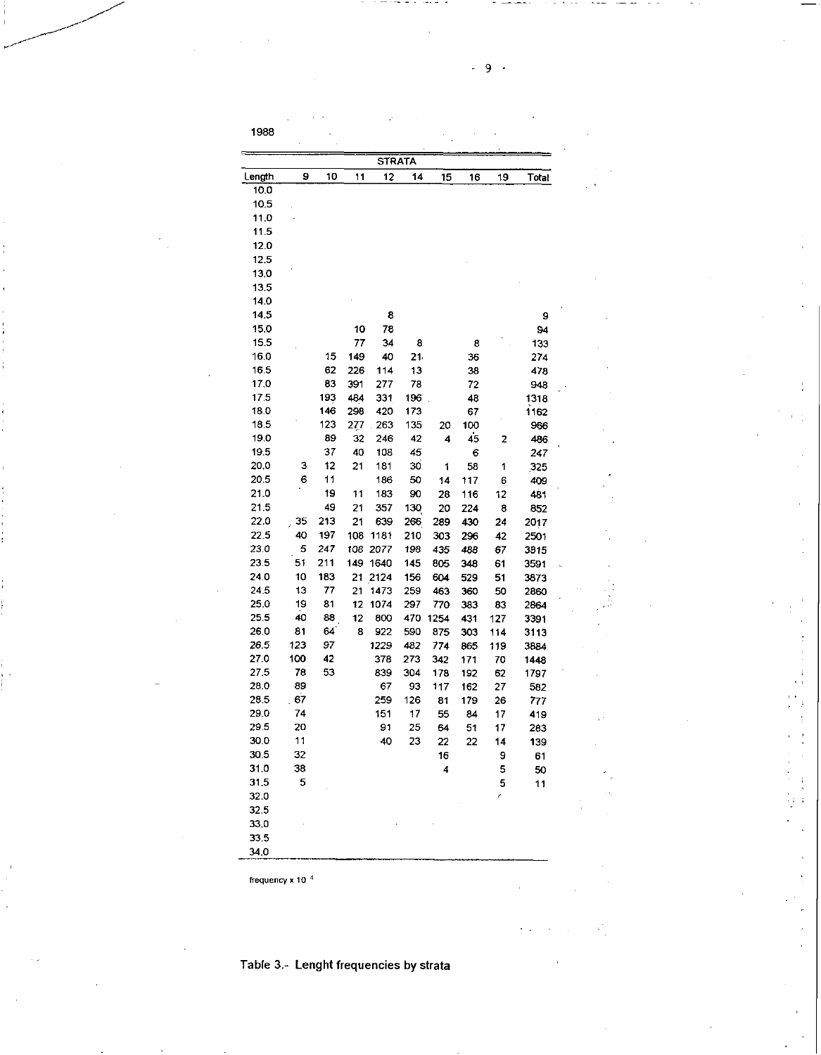| 1988  |    |                 |     |               |     |     |     |                |       |
|-------|----|-----------------|-----|---------------|-----|-----|-----|----------------|-------|
|       |    |                 |     | <b>STRATA</b> |     |     |     |                |       |
| ength | 9  | 10 <sub>1</sub> | 11  | 12            | 14  | 15  | 16  | 19             | Total |
| 10.0  |    |                 |     |               |     |     |     |                |       |
| 10.5  |    |                 |     |               |     |     |     |                |       |
| 11.0  |    |                 |     |               |     |     |     |                |       |
| 11.5  |    |                 |     |               |     |     |     |                |       |
| 12.0  |    |                 |     |               |     |     |     |                |       |
| 12,5  |    |                 |     |               |     |     |     |                |       |
| 13,0  |    |                 |     |               |     |     |     |                |       |
| 13.5  |    |                 |     |               |     |     |     |                |       |
| 14.0  |    |                 |     |               |     |     |     |                |       |
| 14.5  |    |                 |     | 8             |     |     |     |                | 9     |
| 15.0  |    |                 | 10  | 78            |     |     |     |                | 94    |
| 15.5  |    |                 | 77  | 34            | 8   |     | 8   |                | 133   |
| 16.0  |    | 15              | 149 | 40            | 21  |     | 36  |                | 274   |
| 16.5  |    | 62              | 226 | 114           | 13  |     | 38  |                | 478   |
| 17.0  |    | 83              | 391 | 277           | 78  |     | 72  |                | 948   |
| 17.5  |    | 193             | 484 | 331           | 196 |     | 48  |                | 1318  |
| 18.0  |    | 146             | 298 | 420           | 173 |     | 67  |                | 1162  |
| 18.5  |    | 123             | 277 | 263           | 135 | 20  | 100 |                | 956   |
| 19,0  |    | 89              | 32  | 246           | 42  | 4   | 45  | $\overline{2}$ | 486   |
| 19.5  |    | 37              | 40  | 108           | 45  |     | 6   |                | 247   |
| 20.0  | 3  | 12              | 21  | 181           | 30  | 1   | 58  | 1              | 325   |
| 20.5  | 6  | 11              |     | 186           | 50  | 14  | 117 | 6              | 409   |
| 21.0  |    | 19              | 11  | 183           | 90  | 28  | 116 | 12             | 481   |
| 21.5  |    | 49              | 21  | 357           | 130 | 20  | 224 | 8              | 852   |
| 22.0  | 35 | 213             | 21  | 639           | 266 | 289 | 430 | 24             | 2017  |
| 55.C  |    | --              |     |               |     |     |     |                |       |

| 16.0 |     | 15  | 149 | 40   | 21. |      | 36  |     | 274  |
|------|-----|-----|-----|------|-----|------|-----|-----|------|
| 16.5 |     | 62  | 226 | 114  | 13  |      | 38  |     | 478  |
| 17.0 |     | 83  | 391 | 277  | 78  |      | 72  |     | 948  |
| 17.5 |     | 193 | 484 | 331  | 196 |      | 48  |     | 1318 |
| 18.0 |     | 146 | 298 | 420  | 173 |      | 67  |     | 1162 |
| 18.5 |     | 123 | 277 | 263  | 135 | 20   | 100 |     | 956  |
| 19,0 |     | 89  | 32  | 246  | 42  | 4    | 45  | 2   | 486  |
| 19.5 |     | 37  | 40  | 108  | 45  |      | 6   |     | 247  |
| 20.0 | 3   | 12  | 21  | 181  | 30  | 1    | 58  | 1   | 325  |
| 20.5 | 6   | 11  |     | 186  | 50  | 14   | 117 | 6   | 409  |
| 21.0 |     | 19  | 11  | 183  | 90  | 28   | 116 | 12  | 481  |
| 21.5 |     | 49  | 21  | 357  | 130 | 20   | 224 | 8   | 852  |
| 22.0 | 35  | 213 | 21  | 639  | 266 | 289  | 430 | 24  | 2017 |
| 22.5 | 40  | 197 | 108 | 1181 | 210 | 303  | 296 | 42  | 2501 |
| 23.0 | 5   | 247 | 108 | 2077 | 198 | 435  | 488 | 67  | 3815 |
| 23.5 | 51  | 211 | 149 | 1640 | 145 | 805  | 348 | 61  | 3591 |
| 24.0 | 10  | 183 | 21  | 2124 | 156 | 604  | 529 | 51  | 3873 |
| 24.5 | 13  | 77  | 21  | 1473 | 259 | 463  | 360 | 50  | 2860 |
| 25.0 | 19  | 81  | 12  | 1074 | 297 | 770  | 333 | 83  | 2864 |
| 25.5 | 40  | 88  | 12  | 800  | 470 | 1254 | 431 | 127 | 3391 |
| 26.0 | 81  | 64  | 8   | 922  | 590 | 875  | 303 | 114 | 3113 |
| 26.5 | 123 | 97  |     | 1229 | 482 | 774  | 865 | 119 | 3884 |
| 27.0 | 100 | 42  |     | 378  | 273 | 342  | 171 | 70  | 1448 |
| 27.5 | 78  | 53  |     | 839  | 304 | 178  | 192 | 62  | 1797 |
| 28.0 | 89  |     |     | 67   | 93  | 117  | 162 | 27  | 582  |
| 28.5 | 67  |     |     | 259  | 126 | 81   | 179 | 26  | 777  |
| 29.0 | 74  |     |     | 151  | 17  | 55   | 84  | 17  | 419  |
| 29.5 | 20  |     |     | 91   | 25  | 64   | 51  | 17  | 283  |
| 30.0 | 11  |     |     | 40   | 23  | 22   | 22  | 14  | 139  |
| 30.5 | 32  |     |     |      |     | 16   |     | 9   | 61   |
| 31.0 | 38  |     |     |      |     | 4    |     | 5   | 50   |
| 31.5 | 5   |     |     |      |     |      |     | 5   | 11   |
| 32.0 |     |     |     |      |     |      |     | ŕ.  |      |
| 32.5 |     |     |     |      |     |      |     |     |      |
| 33.0 |     |     |     |      |     |      |     |     |      |
| 33.5 |     |     |     |      |     |      |     |     |      |

 $\mathbf{I}$  $\ddot{\phantom{a}}$ 

frequency x 10  $^{4}$ 

34.0

į,

# Table 3.- Lenght frequencies by strata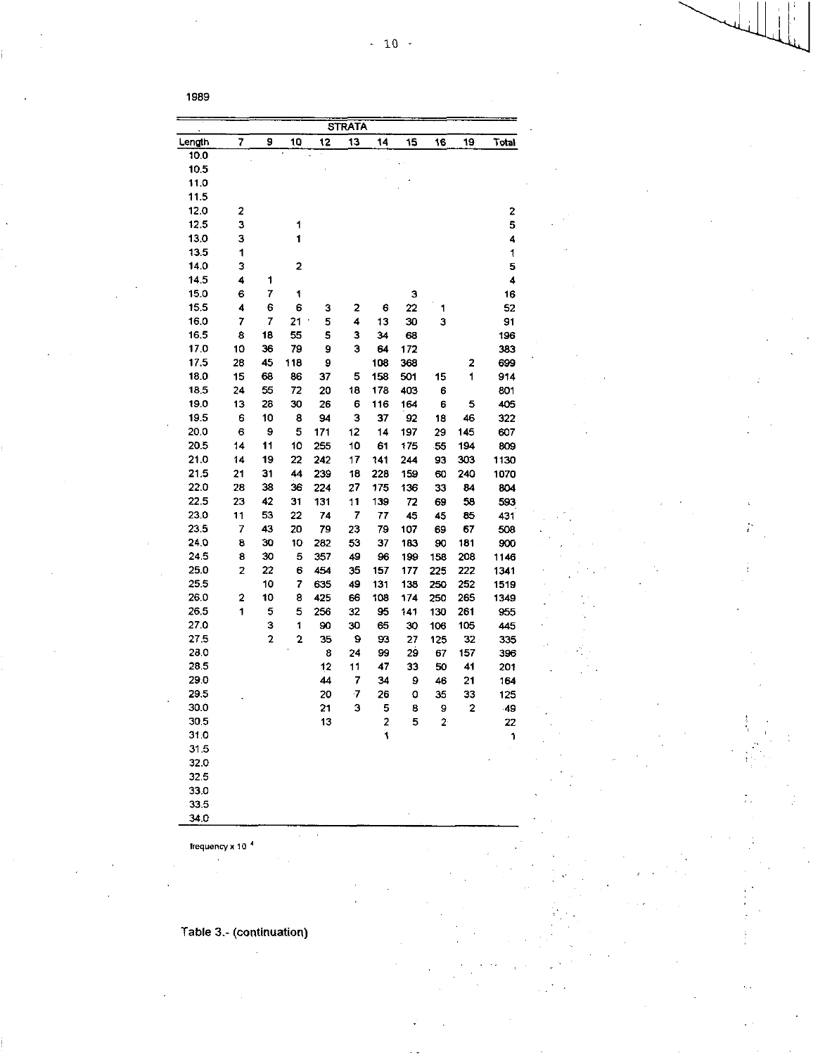|        |    |    |                         |          | <b>STRATA</b> |          |         |            |                         |            |
|--------|----|----|-------------------------|----------|---------------|----------|---------|------------|-------------------------|------------|
| Length | 7  | 9  | 10                      | 12       | 13            | 14       | 15      | 16         | 19                      | Total      |
| 10.0   |    |    |                         |          |               |          |         |            |                         |            |
| 10.5   |    |    |                         |          |               |          |         |            |                         |            |
| 11.0   |    |    |                         |          |               |          |         |            |                         |            |
| 11.5   |    |    |                         |          |               |          |         |            |                         |            |
| 12.0   | 2  |    |                         |          |               |          |         |            |                         | 2          |
| 12.5   | з  |    | 1                       |          |               |          |         |            |                         | 5          |
| 13.0   | 3  |    | 1                       |          |               |          |         |            |                         | 4          |
| 13.5   | 1  |    |                         |          |               |          |         |            |                         | 1          |
| 14.0   | з  |    | 2                       |          |               |          |         |            |                         | 5          |
| 14.5   | 4  | 1  |                         |          |               |          |         |            |                         | 4          |
| 15.0   | 6  | 7  | 1                       |          |               |          | з       |            |                         | 16         |
| 15.5   | 4  | 6  | 6                       | з        | 2             | 6        | 22      | 1          |                         | 52         |
| 16.0   | 7  | 7  | 21                      | 5        | 4             | 13       | 30      | з          |                         | 91         |
| 16.5   | 8  | 18 | 55                      | 5        | з             | 34       | 63      |            |                         | 196        |
| 17.0   | 10 | 36 | 79                      | 9        | з             | 64       | 172     |            |                         | 383        |
| 17.5   | 28 | 45 | 118                     | 9        |               | 108      | 368     |            | 2                       | 699        |
| 18.0   | 15 | 68 | 86                      | 37       | 5             | 158      | 501     | 15         | 1                       | 914        |
| 18.5   | 24 | 55 | 72                      | 20       | 18            | 178      | 403     | 6          |                         | 801        |
| 19.0   | 13 | 28 | 30                      | 26       | 6             | 116      | 164     | 6          | 5                       | 405        |
| 19.5   | 6  | 10 | 8                       | 94       | з             | 37       | 92      | 18         | 46                      | 322        |
| 20.0   | 6  | 9  | 5                       | 171      | 12            | 14       | 197     | 29         | 145                     | 607        |
| 20.5   | 14 | 11 | 10                      | 255      | 10            | 61       | 175     | 55         | 194                     | 809        |
| 21.0   | 14 | 19 | 22                      | 242      | 17            | 141      | 244     | 93         | 303                     | 1130       |
| 21.5   | 21 | 31 | 44                      | 239      | 18            | 228      | 159     | 60         | 240                     | 1070       |
| 22.0   | 28 | 38 | 36                      | 224      | 27            | 175      | 136     | 33         | 84                      | 804        |
| 22.5   | 23 | 42 | 31                      | 131      | 11            | 139      | 72      | 69         | 58                      | 593        |
| 23.0   | 11 | 53 | 22                      | 74       | 7             | 77       | 45      | 45         | 85                      | 431        |
| 23.5   | 7  | 43 | 20                      | 79       | 23            | 79       | 107     | 69         | 67                      | 508        |
| 240    | 8  | 30 | 10                      | 282      | 53            | 37       | 183     | 90         | 181                     | 900        |
| 24.5   | 8  | 30 | 5                       | 357      | 49            | 96       | 199     | 158        | 208                     | 1146       |
| 25.0   | 2  | 22 | 6                       | 454      | 35            | 157      | 177     | 225        | 222                     | 1341       |
| 25.5   |    | 10 | 7                       | 635      | 49            | 131      | 138     | 250        | 252                     | 1519       |
| 26.0   | 2  | 10 | 8                       | 425      | 66            | 108      | 174     | 250        | 265                     | 1349       |
| 26.5   | 1  | 5  | 5                       | 256      | 32            | 95       | 141     |            |                         |            |
| 270    |    | 3  | 1                       | 90       | 30            | 65       | 30      | 130<br>106 | 261<br>105              | 955<br>445 |
| 27.5   |    | 2  | $\overline{\mathbf{c}}$ | 35       | 9             | 93       | 27      | 125        | $32 -$                  | 335        |
| 28.0   |    |    |                         | 8        | 24            | 99       | 29      |            |                         |            |
| 28.5   |    |    |                         |          |               |          |         | 67         | 157<br>41               | 396        |
| 29.0   |    |    |                         | 12<br>44 | 11<br>7       | 47<br>34 | 33<br>9 | 50<br>46   | 21                      | 201        |
| 29.5   |    |    |                         | 20       | 7             |          | O       | 35         | 33                      | 164        |
| 30.0   |    |    |                         |          |               | 26       |         |            |                         | 125        |
| 30.5   |    |    |                         | 21       | 3             | 5        | 8       | 9          | $\overline{\mathbf{c}}$ | 49         |
| 31.0   |    |    |                         | 13       |               | 2<br>1   | 5       | 2          |                         | 22         |
| 31.5   |    |    |                         |          |               |          |         |            |                         | 1          |
|        |    |    |                         |          |               |          |         |            |                         |            |
| 32.0   |    |    |                         |          |               |          |         |            |                         |            |
| 32.5   |    |    |                         |          |               |          |         |            |                         |            |
| 33.0   |    |    |                         |          |               |          |         |            |                         |            |
| 33.5   |    |    |                         |          |               |          |         |            |                         |            |
| 34.0   |    |    |                         |          |               |          |         |            |                         |            |

frequency x 10<sup>4</sup>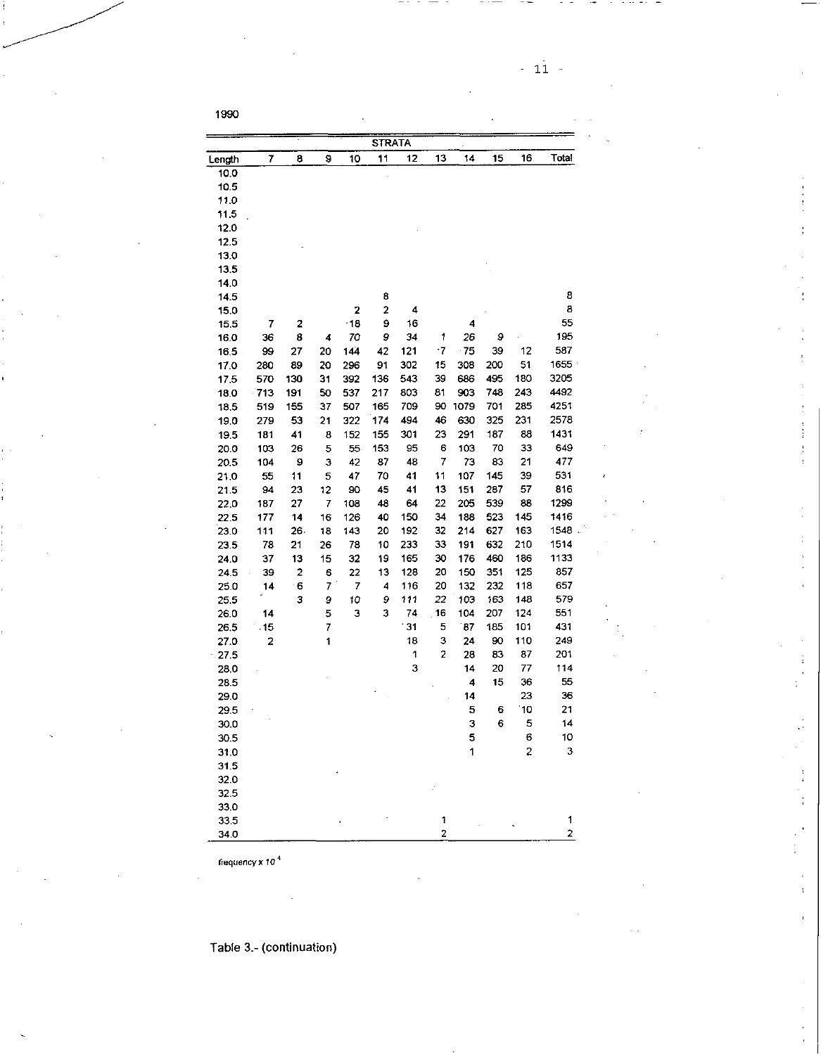- 11 -

1990

|              |     |     |    |            | <b>STRATA</b>           |     |    |      |     |                |       |
|--------------|-----|-----|----|------------|-------------------------|-----|----|------|-----|----------------|-------|
| Length       | 7   | 8   | 9  | 10         | 11                      | 12  | 13 | 14   | 15  | 16             | Total |
| 10.0         |     |     |    |            |                         |     |    |      |     |                |       |
| 10.5         |     |     |    |            |                         |     |    |      |     |                |       |
| 11.0         |     |     |    |            |                         |     |    |      |     |                |       |
| 115          |     |     |    |            |                         |     |    |      |     |                |       |
| 12.0         |     |     |    |            |                         |     |    |      |     |                |       |
| 12.5         |     |     |    |            |                         |     |    |      |     |                |       |
| 13.0         |     |     |    |            |                         |     |    |      |     |                |       |
| 13.5         |     |     |    |            |                         |     |    |      |     |                |       |
| 14.0         |     |     |    |            |                         |     |    |      |     |                |       |
| 14.5         |     |     |    |            | 8                       |     |    |      |     |                | 8     |
| 15.0         |     |     |    | 2          | $\overline{\mathbf{c}}$ | 4   |    |      |     |                | 8     |
| 15.5         | 7   | 2   |    | $\cdot$ 18 | 9                       | 16  |    | 4    |     |                | 55    |
| 16.0         | 36  | 8   | 4  | 70         | 9                       | 34  | 1  | 26   | 9   |                | 195   |
| 16.5         | 99  | 27  | 20 | 144        | 42                      | 121 | -7 | 75   | 39  | 12             | 587   |
| 17.0         | 280 | 89  | 20 | 296        | 91                      | 302 | 15 | 308  | 200 | 51             | 1655  |
| 17.5         | 570 | 130 | 31 | 392        | 136                     | 543 | 39 | 686  | 495 | 180            | 3205  |
| 180          | 713 | 191 | 50 | 537        | 217                     | 803 | 81 | 903  | 748 | 243            | 4492  |
| 18.5         | 519 | 155 | 37 | 507        | 165                     | 709 | 90 | 1079 | 701 | 285            | 4251  |
| 19.0         | 279 | 53  | 21 | 322        | 174                     | 494 | 46 | 630  | 325 | 231            | 2578  |
| 19.5         | 181 | 41  | 8  | 152        | 155                     | 301 | 23 | 291  | 187 | 88             | 1431  |
| 20.0         | 103 | 26  | 5  | 55         | 153                     | 95  | 6  | 103  | 70  | 33             | 649   |
| 20.5         | 104 | 9   | 3  | 42         | 87                      | 48  | 7  | 73   | 83  | 21             | 477   |
| 21.0         | 55  | 11  | 5  | 47         | 70                      | 41  | 11 | 107  | 145 | 39             | 531   |
| 21.5         | 94  | 23  | 12 | 90         | 45                      | 41  | 13 | 151  | 287 | 57             | 816   |
| 22.0         | 187 | 27  | 7  | 108        | 48                      | 64  | 22 | 205  | 539 | 88             | 1299  |
| 22.5         | 177 | 14  | 16 | 126        | 40                      | 150 | 34 | 188  | 523 | 145            | 1416  |
| 23.0         | 111 | 26. | 18 | 143        | 20                      | 192 | 32 | 214  | 627 | 163            | 1548  |
| 23.5         | 78  | 21  | 26 | 78         | 10                      | 233 | 33 | 191  | 632 | 210            | 1514  |
| 24.0         | 37  | 13  | 15 | 32         | 19                      | 165 | 30 | 176  | 460 | 186            | 1133  |
| 245          | 39  | 2   | 6  | 22         | 13                      | 128 | 20 | 150  | 351 | 125            | 857   |
| 25.0         | 14  | 6   | 7  | 7          | 4                       | 116 | 20 | 132  | 232 | 118            | 657   |
| 25.5         |     | з   | 9  | 10         | 9                       | 111 | 22 | 103  | 163 | 148            | 579   |
| 26.0         | 14  |     | 5  | з          | 3                       | 74  | 16 | 104  | 207 | 124            | 551   |
| 26.5         | .15 |     | 7  |            |                         | 31  | 5  | 87   | 185 | 101            | 431   |
| 27.0         | 2   |     | 1  |            |                         | 18  | з  | 24   | 90  | 110            | 249   |
| $-27.5$      |     |     |    |            |                         | 1   | 2  | 28   | 83  | 87             | 201   |
| 28.0         |     |     |    |            |                         | 3   |    | 14   | 20  | 77             | 114   |
| 28.5         |     |     |    |            |                         |     |    | 4    | 15  | 36             | 55    |
| 29.0         |     |     |    |            |                         |     |    | 14   |     | 23             | 36    |
| 29.5         |     |     |    |            |                         |     |    | 5    | 6   | 10             | 21    |
| 30.0         |     |     |    |            |                         |     |    | 3    | 6   | 5              | 14    |
| 30.5         |     |     |    |            |                         |     |    | 5    |     | 6              | 10    |
| 31.0         |     |     |    |            |                         |     |    | 1    |     | $\overline{c}$ | 3     |
| 31.5         |     |     |    |            |                         |     |    |      |     |                |       |
| 32.0         |     |     |    |            |                         |     |    |      |     |                |       |
|              |     |     |    |            |                         |     |    |      |     |                |       |
| 32.5         |     |     |    |            |                         |     |    |      |     |                |       |
| 33.0<br>33.5 |     |     |    |            |                         |     | 1  |      |     |                | 1     |
|              |     |     |    |            |                         |     | 2  |      |     |                | 2     |
| 34.0         |     |     |    |            |                         |     |    |      |     |                |       |

frequency x *10* <sup>4</sup>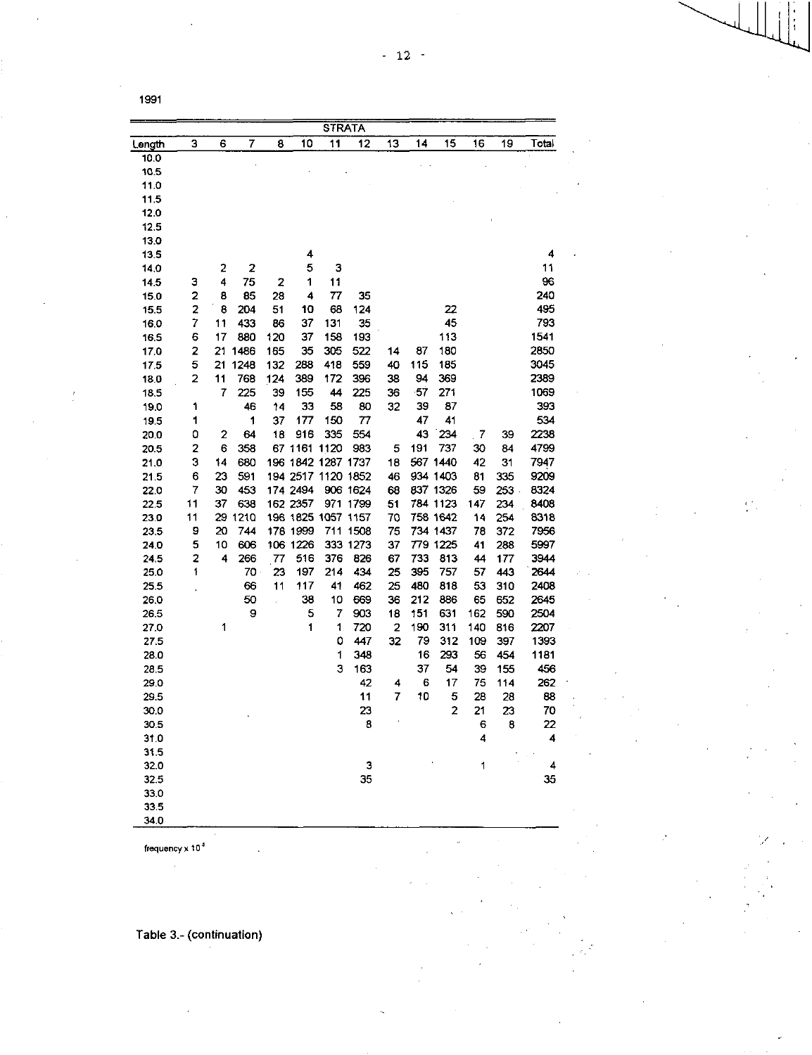ż

|              |    |    |         |     |                    |     | STRATA   |    |     |                |            |            |       |
|--------------|----|----|---------|-----|--------------------|-----|----------|----|-----|----------------|------------|------------|-------|
| <u>ength</u> | 3  | 6  | 7       | 8   | 10                 | 11  | 12       | 13 | 14  | 15             | 16         | 19         | Total |
| 10.0         |    |    |         |     |                    |     |          |    |     |                |            |            |       |
| 10.5         |    |    |         |     |                    |     |          |    |     |                |            |            |       |
| 11.0         |    |    |         |     |                    |     |          |    |     |                |            |            |       |
| 115          |    |    |         |     |                    |     |          |    |     |                |            |            |       |
| 120          |    |    |         |     |                    |     |          |    |     |                |            |            |       |
| 12.5         |    |    |         |     |                    |     |          |    |     |                |            |            |       |
| 13.0         |    |    |         |     |                    |     |          |    |     |                |            |            |       |
| 13.5         |    |    |         |     | 4                  |     |          |    |     |                |            |            | 4     |
| 14.0         |    | 2  | 2       |     | 5                  | 3   |          |    |     |                |            |            | 11    |
| 145          | з  | 4  | 75      | 2   | 1                  | 11  |          |    |     |                |            |            | 96    |
| 15.0         | 2  | 8  | 85      | 28  | 4                  | 77  | 35       |    |     |                |            |            | 240   |
| 15.5         | 2  | 8  | 204     | 51  | 10                 | 68  | 124      |    |     | 22             |            |            | 495   |
| 16.0         | 7  | 11 | 433     | 86  | 37                 | 131 | 35       |    |     | 45             |            |            | 793   |
| 16.5         | 6  | 17 | 880     | 120 | 37                 | 158 | 193      |    |     | 113            |            |            | 1541  |
| 17.0         | 2  | 21 | 1486    | 165 | 35                 | 305 | 522      | 14 | 87  | 180            |            |            | 2850  |
| 17.5         | 5  | 21 | 1248    | 132 | 288                | 418 | 559      | 40 | 115 | 185            |            |            | 3045  |
| 180          | 2  | 11 | 768     | 124 | 389                | 172 | 396      | 38 | 94  | 369            |            |            | 2389  |
| 18.5         |    | 7  | 225     | 39  | 155                | 44  | 225      | 36 | 57  | 271            |            |            | 1069  |
| 19.0         | 1  |    | 46      | 14  | 33                 | 58  | 80       | 32 | 39  | 87             |            |            | 393   |
| 19.5         | 1  |    | 1       | 37  | 177                | 150 | 77       |    | 47  | 41             |            |            | 534   |
| 20.0         | 0  | 2  | 64      | 18  | 916                | 335 | 554      |    | 43  | 234            | $\sqrt{7}$ | 39         | 2238  |
| 20.5         | 2  | 6  | 358     |     | 67 1161 1120       |     | 983      | 5  | 191 | 737            | 30         | 84         | 4799  |
| 21.0         | 3  | 14 | 680     |     | 196 1842 1287 1737 |     |          | 18 |     | 567 1440       | 42         | 31         | 7947  |
| 21.5         | 6  | 23 | 591     |     | 194 2517 1120 1852 |     |          | 46 |     | 934 1403       | 81         | 335        | 9209  |
| 22.0         | 7  | 30 | 453     |     | 174 2494           |     | 906 1624 | 68 |     | 837 1326       | 59         | 253        | 8324  |
| 22.5         | 11 | 37 | 638     |     | 162 2357           |     | 971 1799 | 51 |     | 784 1123       | 147        | 234        | 8408  |
| 23.0         | 11 |    | 29 1210 |     | 196 1825 1057 1157 |     |          | 70 |     | 758 1642       | 14         | 254        | 8318  |
| 23.5         | 9  | 20 | 744     |     | 178 1999           |     | 711 1508 | 75 |     | 734 1437       | 78         | 372        | 7956  |
| 24.0         | 5  | 10 | 606     |     | 106 1226           |     | 333 1273 | 37 |     | 779 1225       | 41         | 288        | 5997  |
| 24.5         | 2  | 4  | 266     | 77  | 516                | 376 | 826      | 67 | 733 | 813            | 44         | 177        | 3944  |
| 25.0         | 1  |    | 70      | 23  | 197                | 214 | 434      | 25 | 395 | 757            | 57         | 443        | 2644  |
| 25.5         |    |    | 66      | 11  | 117                | 41  | 462      | 25 | 480 | 818            | 53         | 310        | 2408  |
| 26.0         |    |    | 50      | J.  | 38                 | 10  | 669      | 36 | 212 | 836            | 65         | 652        | 2645  |
| 26.5         |    |    | 9       |     | 5                  | 7   | 903      | 18 | 151 | 631            | 162        | 590        | 2504  |
| 27.0         |    | 1  |         |     | 1                  | 1   | 720      | 2  | 190 | 311            | 140        | 816        | 2207  |
|              |    |    |         |     |                    | ٥   | 447      | 32 | 79  | 312            | 109        |            | 1393  |
| 27.5         |    |    |         |     |                    | 1   | 348      |    | 16  | 293            | 56         | 397<br>454 | 1181  |
| 28.0         |    |    |         |     |                    | 3   |          |    | 37  | 54             | 39         |            |       |
| 28.5         |    |    |         |     |                    |     | 163      |    |     |                |            | 155        | 456   |
| 29.0         |    |    |         |     |                    |     | 42       | 4  | 6   | 17             | 75         | 114        | 262   |
| 29.5         |    |    |         |     |                    |     | 11       | 7  | 10  | 5              | 28         | 28         | 88    |
| 30.0         |    |    |         |     |                    |     | 23       |    |     | $\overline{c}$ | 21         | 23         | 70    |
| 30.5         |    |    |         |     |                    |     | 8        |    |     |                | 6          | 8          | 22    |
| 31.0         |    |    |         |     |                    |     |          |    |     |                | 4          |            | 4     |
| 31.5         |    |    |         |     |                    |     |          |    |     |                |            |            |       |
| 32.0         |    |    |         |     |                    |     | 3        |    |     |                | 1          |            | 4     |
| 32.5         |    |    |         |     |                    |     | 35       |    |     |                |            |            | 35    |
| 33.0         |    |    |         |     |                    |     |          |    |     |                |            |            |       |
| 33.5         |    |    |         |     |                    |     |          |    |     |                |            |            |       |

frequency x  $10^4$ 

34.0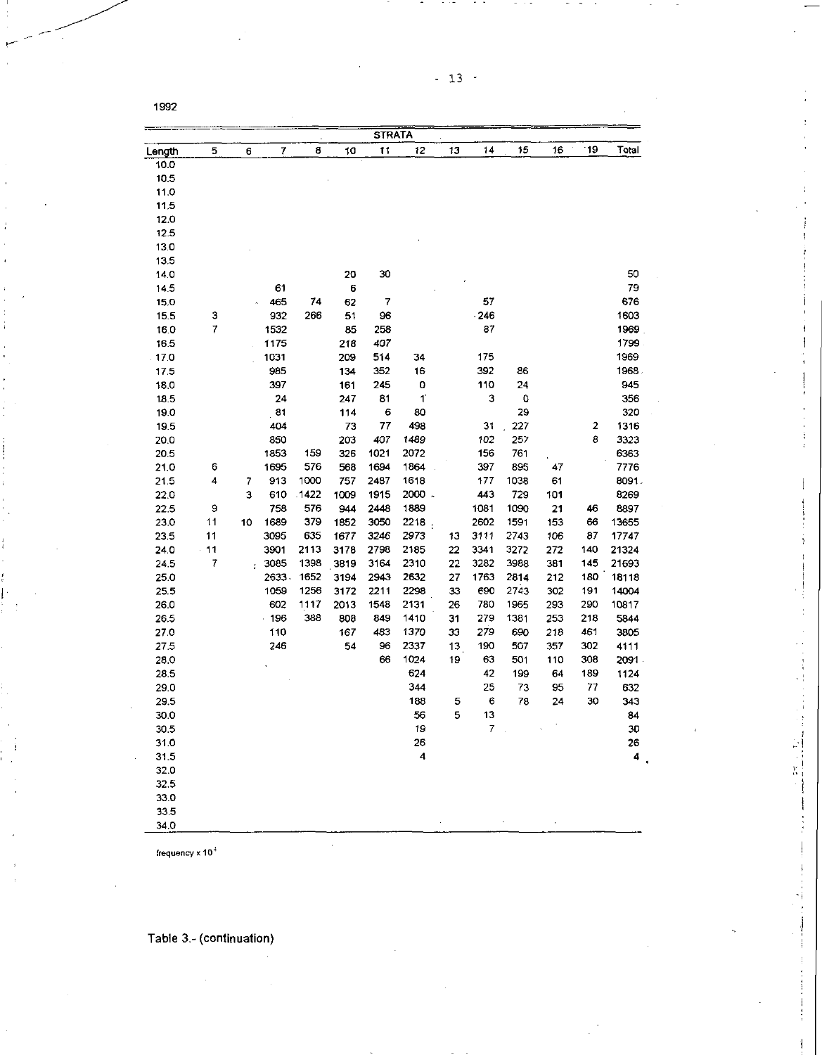|              |          |        |              |            |              | <b>STRATA</b> |                         |          |              |                             |            |          |                |
|--------------|----------|--------|--------------|------------|--------------|---------------|-------------------------|----------|--------------|-----------------------------|------------|----------|----------------|
| Length       | 5        | 6      | 7            | 8          | 10           | 11            | 12                      | 13       | 14           | 15                          | 16         | 19'      | Total          |
| 10.0         |          |        |              |            |              |               |                         |          |              |                             |            |          |                |
| 10.5         |          |        |              |            |              |               |                         |          |              |                             |            |          |                |
| 11.0         |          |        |              |            |              |               |                         |          |              |                             |            |          |                |
| 11.5         |          |        |              |            |              |               |                         |          |              |                             |            |          |                |
| 12.0         |          |        |              |            |              |               |                         |          |              |                             |            |          |                |
| 12.5         |          |        |              |            |              |               |                         |          |              |                             |            |          |                |
| 13.0         |          |        |              |            |              |               |                         |          |              |                             |            |          |                |
| 13.5         |          |        |              |            |              |               |                         |          |              |                             |            |          |                |
| 14.0         |          |        |              |            | 20           | 30            |                         |          |              |                             |            |          | 50             |
| 14.5         |          |        | 61           |            | 6            |               |                         |          |              |                             |            |          | 79             |
| 15.0         |          |        | 465          | 74         | 62           | 7             |                         |          | 57           |                             |            |          | 676            |
| 15.5         | з        |        | 932          | 266        | 51           | 96            |                         |          | $-246$       |                             |            |          | 1603           |
| 16.0         | 7        |        | 1532         |            | 85           | 258           |                         |          | 37           |                             |            |          | 1969           |
| 16.5         |          |        | 1175         |            | 218          | 407           |                         |          |              |                             |            |          | 1799           |
| 17.0         |          |        | 1031         |            | 209          | 514           | 34                      |          | 175          |                             |            |          | 1969           |
| 17.5         |          |        | 985          |            | 134          | 352           | 16                      |          | 392          | 86                          |            |          | 1968           |
| 18.0         |          |        | 397          |            | 161          | 245           | 0                       |          | 110          | 24                          |            |          | 945            |
| 18.5         |          |        | 24           |            | 247          | 81            | $\mathbf{1}$            |          | 3            | Q                           |            |          | 356            |
| 190          |          |        | 81           |            | 114          | 6             | 80                      |          |              | 29                          |            |          | 320            |
| 19.5         |          |        | 404          |            | 73           | 77            | 498                     |          | 31           | 227                         |            | 2        | 1316           |
| 20.0         |          |        | 850          |            | 203          | 407           | 1489                    |          | 102          | 257                         |            | 8        | 3323           |
| 20.5         |          |        | 1853         | 159        | 326          | 1021          | 2072                    |          | 156          | 761                         |            |          | 6363           |
| 21.0         | 6<br>4   |        | 1695         | 576        | 568          | 1694          | 1864                    |          | 397          | 895                         | 47         |          | 7776           |
| 21.5         |          | 7<br>3 | 913          | 1000       | 757          | 2487          | 1618<br>2000 -          |          | 177<br>443   | 1038                        | 61         |          | 8091.          |
| 22.0         |          |        | 610          | .1422      | 1009         | 1915          |                         |          |              | 729                         | 101        |          | 8269           |
| 22.5         | 9        |        | 758          | 576        | 944          | 2448          | 1889                    |          | 1081         | 1090                        | 21         | 46       | 8897           |
| 23.0         | 11<br>11 | 10     | 1689<br>3095 | 379<br>635 | 1852         | 3050<br>3246  | 2218.<br>2973           |          | 2602<br>3111 | 1591<br>2743                | 153<br>106 | 66<br>87 | 13655          |
| 23.5<br>24.0 | $-11$    |        | 3901         | 2113       | 1677<br>3178 | 2798          | 2185                    | 13<br>22 | 3341         | 3272                        | 272        | 140      | 17747<br>21324 |
| 24.5         | 7        |        | 3085         | 1398       | 3819         | 3164          | 2310                    | 22       | 3282         | 3988                        | 381        | 145      | 21693          |
| 25.0         |          | ř.     | 2633         | 1652       | 3194         | 2943          | 2632                    | 27       | 1763         | 2814                        | 212        | 180      | 18118          |
| 25.5         |          |        | 1059         | 1256       | 3172         | 2211          | 2298                    | 33       | 690          | 2743                        | 302        | 191      | 14004          |
| 26.0         |          |        | 602          | 1117       | 2013         | 1548          | 2131                    | 26       | 780          | 1965                        | 293        | 290      | 10817          |
| 26.5         |          |        | .196         | 388        | 808          | 849           | 1410                    | 31       | 279          | 1381                        | 253        | 218      | 5844           |
| 27.0         |          |        | 110          |            | 167          | 483           | 1370                    | 33       | 279          | 690                         | 218        | 461      | 3805           |
| 27.5         |          |        | 246          |            | 54           | 96            | 2337                    | 13       | 190          | 507                         | 357        | 302      | 4111           |
| 28.0         |          |        |              |            |              | 66            | 1024                    | 19       | 63           | 501                         | 110        | 308      | 2091           |
| 28.5         |          |        |              |            |              |               | 624                     |          | 42           | 199                         | 64         | 189      | 1124           |
| 29.0         |          |        |              |            |              |               | 344                     |          | 25           | 73                          | 95         | 77       | 632            |
| 29.5         |          |        |              |            |              |               | 188                     | 5        | 6            | 78                          | 24         | 30       | 343            |
| 30.0         |          |        |              |            |              |               | 56                      | 5        | 13           |                             |            |          | 84             |
| 30.5         |          |        |              |            |              |               | 19                      |          | 7            | $\mathcal{L}_{\mathcal{L}}$ |            |          | 30             |
| 31.0         |          |        |              |            |              |               | 26                      |          |              |                             |            |          | 26             |
| 31.5         |          |        |              |            |              |               | $\overline{\mathbf{4}}$ |          |              |                             |            |          | 4              |
| 32.0         |          |        |              |            |              |               |                         |          |              |                             |            |          |                |
| 32.5         |          |        |              |            |              |               |                         |          |              |                             |            |          |                |
| 33.0         |          |        |              |            |              |               |                         |          |              |                             |            |          |                |
| 33.5         |          |        |              |            |              |               |                         |          |              |                             |            |          |                |
| 34.0         |          |        |              |            |              |               |                         |          |              |                             |            |          |                |

- 1  $\frac{3^2}{3^2}$  .

frequency x 10 <sup>4</sup>

Table 3.- (continuation)

 $\cdot$ 

- 13 -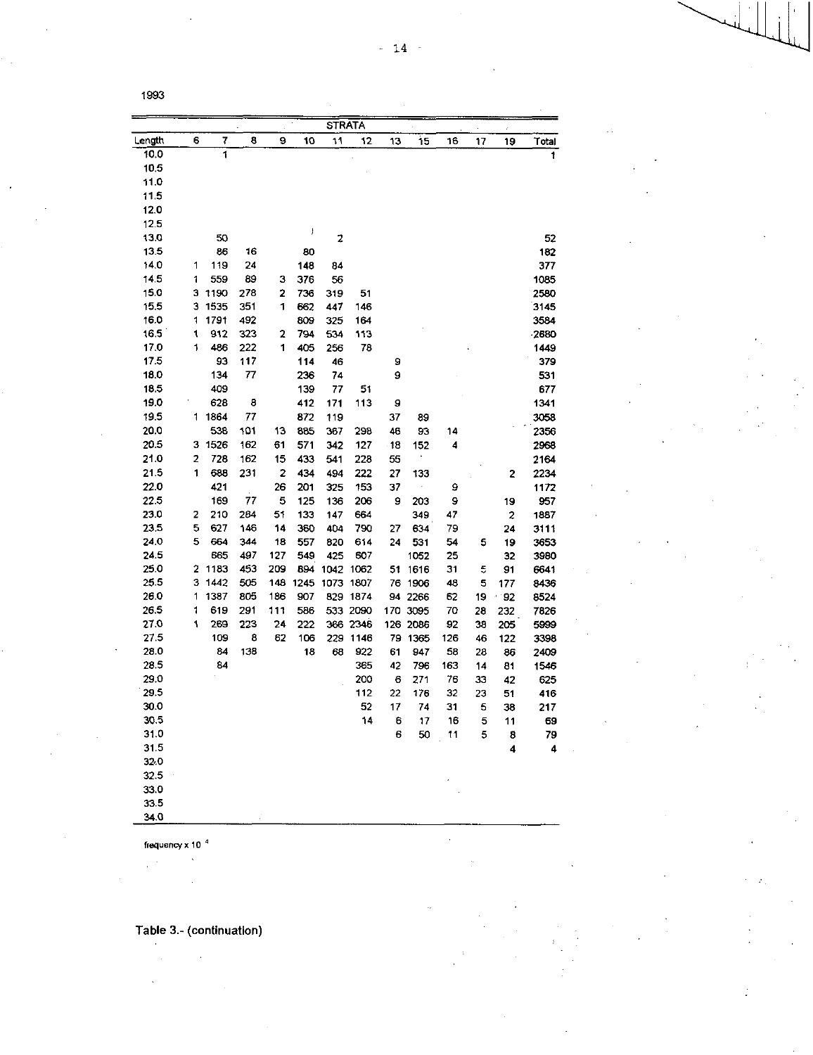|        |   |      |     |                         |      | <b>STRATA</b> |          |     |          |     |    |       |       |
|--------|---|------|-----|-------------------------|------|---------------|----------|-----|----------|-----|----|-------|-------|
| Length | 6 | 7    | 8   | 9                       | 10   | 11            | 12       | 13  | 15       | 16  | 17 | 19    | Total |
| 10.0   |   | 1    |     |                         |      |               |          |     |          |     |    |       | 1     |
| 10.5   |   |      |     |                         |      |               |          |     |          |     |    |       |       |
| 11.0   |   |      |     |                         |      |               |          |     |          |     |    |       |       |
| 11.5   |   |      |     |                         |      |               |          |     |          |     |    |       |       |
| 12.0   |   |      |     |                         |      |               |          |     |          |     |    |       |       |
| 12.5   |   |      |     |                         |      |               |          |     |          |     |    |       |       |
| 13.0   |   | 50   |     |                         | ţ    | 2             |          |     |          |     |    |       | 52    |
| 13.5   |   | 86   | 16  |                         | 80   |               |          |     |          |     |    |       | 182   |
| 14.0   | 1 | 119  | 24  |                         | 148  | 84            |          |     |          |     |    |       | 377   |
| 14.5   | 1 | 559  | 89  | з                       | 376  | 56            |          |     |          |     |    |       | 1085  |
| 15.0   | з | 1190 | 278 | 2                       | 736  | 319           | 51       |     |          |     |    |       | 2580  |
| 15.5   | з | 1535 | 351 | 1                       | 662  | 447           | 146      |     |          |     |    |       | 3145  |
| 16.0   | 1 | 1791 | 492 |                         | 809  | 325           | 164      |     |          |     |    |       | 3584  |
| 16.5   | 1 | 912  | 323 | 2                       | 794  | 534           | 113      |     |          |     |    |       | 2680  |
| 17.0   | 1 | 486  | 222 | 1                       | 405  | 256           | 78       |     |          |     |    |       | 1449  |
| 17.5   |   | 93   | 117 |                         | 114  | 46            |          | 9   |          |     |    |       | 379   |
| 18.0   |   | 134  | 77  |                         | 236  | 74            |          | 9   |          |     |    |       | 531   |
| 18.5   |   | 409  |     |                         | 139  | 77            | 51       |     |          |     |    |       | 677   |
| 19.0   |   | 628  | 8   |                         | 412  | 171           | 113      | 9   |          |     |    |       | 1341  |
| 19.5   | 1 | 1864 | 77  |                         | 872  | 119           |          | 37  | 89       |     |    |       | 3058  |
| 20.0   |   | 538  | 101 | 13                      | 885  | 367           | 298      | 46  | 93       | 14  |    |       | 2356  |
| 20.5   | 3 | 1526 | 162 | 61                      | 571  | 342           | 127      | -18 | 152      | 4   |    |       | 2968  |
| 21.0   | 2 | 728  | 162 | 15                      | 433  | 541           | 228      | 55  |          |     |    |       | 2164  |
| 21.5   | 1 | 688  | 231 | $\overline{\mathbf{c}}$ | 434  | 494           | 222      | 27  | 133      |     |    | 2     | 2234  |
| 22.0   |   | 421  |     | 26                      | 201  | 325           | 153      | 37  |          | 9   |    |       | 1172  |
| 22.5   |   | 169  | 77  | 5                       | 125  | 136           | 206      | 9   | 203      | 9   |    | 19    | 957   |
| 23.0   | 2 | 210  | 264 | 51                      | 133  | 147           | 664      |     | 349      | 47  |    | 2     | 1887  |
| 23.5   | 5 | 627  | 146 | 14                      | 360  | 404           | 790      | 27  | 634      | 79  |    | 24    | 3111  |
| 24.0   | 5 | 664  | 344 | 18                      | 557  | 820           | 614      | 24  | 531      | 54  | 5  | 19    | 3653  |
| 24.5   |   | 665  | 497 | 127                     | 549  | 425           | 607      |     | 1052     | 25  |    | 32    | 3980  |
| 25.0   | 2 | 1183 | 453 | 209                     | 894  | 1042          | 1062     | 51  | 1616     | 31  | 5  | 91    | 6641  |
| 25.5   | з | 1442 | 505 | 148                     | 1245 | 1073          | 1807     | 76  | 1906     | 48  | 5  | 177   | 8436  |
| 26.0   | 1 | 1387 | 805 | 186                     | 907  | 829           | 1874     | 94  | 2266     | 62  | 19 | $-92$ | 8524  |
| 26.5   | 1 | 619  | 291 | 111                     | 586  |               | 533 2090 |     | 170 3095 | 70  | 28 | 232   | 7826  |
| 27.0   | 1 | 269  | 223 | 24                      | 222  |               | 366 2346 |     | 126 2086 | 92  | 38 | 205   | 5999  |
| 27.5   |   | 109  | 8   | 62                      | 106  | 229           | 1146     | 79  | 1365     | 126 | 46 | 122   | 3398  |
| 28.0   |   | 84   | 138 |                         | 18   | 68            | 922      | 61  | 947      | 58  | 28 | 86    | 2409  |
| 28.5   |   | 84   |     |                         |      |               | 365      | 42  | 796      | 163 | 14 | 81    | 1546  |
| 29.0   |   |      |     |                         |      |               | 200      | 6   | 271      | 76  | 33 | 42    | 625   |
| 29.5   |   |      |     |                         |      |               | 112      | 22  | 176      | 32  | 23 | 51    | 416   |
| 30.0   |   |      |     |                         |      |               | 52       | 17  | 74       | 31  | 5  | 38    | 217   |
| 30.5   |   |      |     |                         |      |               | 14       | 6   | 17       | 16  | 5  | 11    | 69    |
| 31.0   |   |      |     |                         |      |               |          | 6   | 50       | 11  | 5  | 8     | 79    |
| 31.5   |   |      |     |                         |      |               |          |     |          |     |    | 4     | 4     |
| 32.0   |   |      |     |                         |      |               |          |     |          |     |    |       |       |
| 32.5   |   |      |     |                         |      |               |          |     |          |     |    |       |       |
| 33.0   |   |      |     |                         |      |               |          |     |          |     |    |       |       |
| 33.5   |   |      |     |                         |      |               |          |     |          |     |    |       |       |
| 34.0   |   |      |     |                         |      |               |          |     |          |     |    |       |       |

l.

frequency x 10 $^{-4}$ 

 $\mathcal{L}$ 

 $\sim$ 

 $\ddot{\phantom{1}}$ 

 $\bar{\star}$ 

 $\cdot$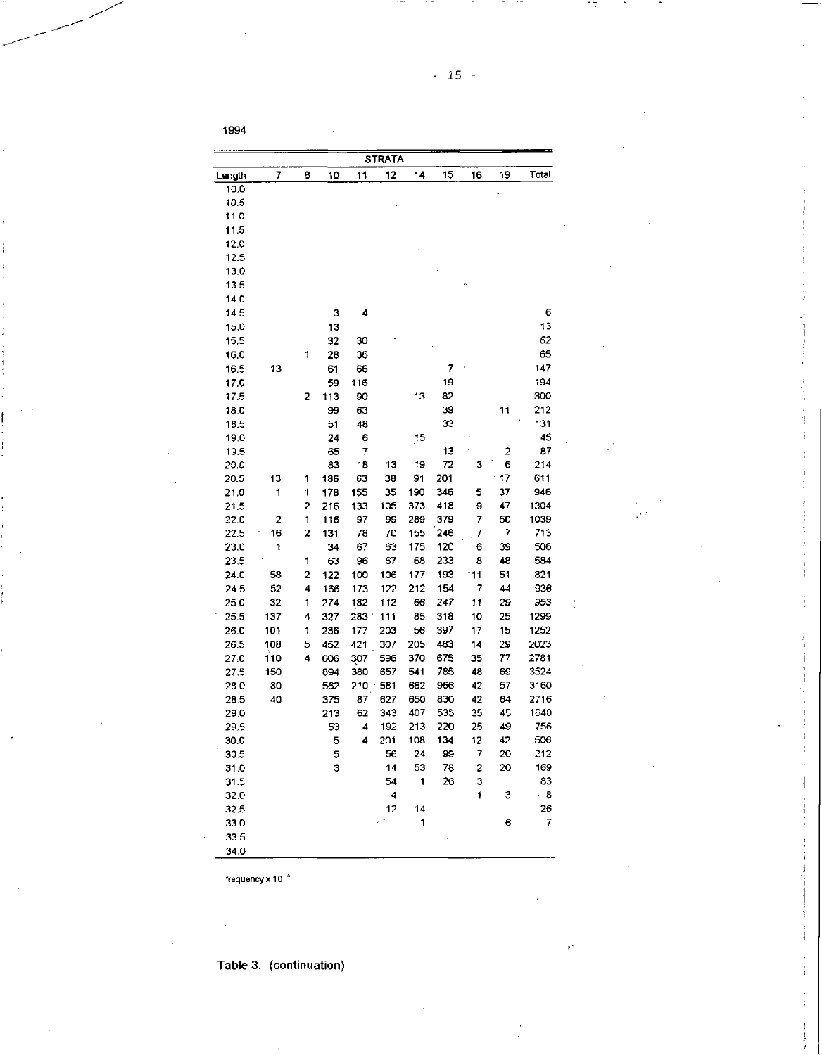| 12<br>15<br>7<br>11<br>8<br>10<br>14<br>16<br>Length<br>10.0<br>10.5<br>11.0<br>11.5<br>12.0<br>12.5<br>13.0<br>13.5 | 19 | Total |
|----------------------------------------------------------------------------------------------------------------------|----|-------|
|                                                                                                                      |    |       |
|                                                                                                                      |    |       |
|                                                                                                                      |    |       |
|                                                                                                                      |    |       |
|                                                                                                                      |    |       |
|                                                                                                                      |    |       |
|                                                                                                                      |    |       |
|                                                                                                                      |    |       |
|                                                                                                                      |    |       |
| 14.0                                                                                                                 |    |       |
| 14.5<br>3<br>4                                                                                                       |    | 6     |
| 15.0<br>13                                                                                                           |    | 13    |
| 15.5<br>32<br>30                                                                                                     |    | 62    |
| 16.0<br>28<br>36<br>1                                                                                                |    | 65    |
| 7<br>16.5<br>13<br>61<br>66                                                                                          |    | 147   |
| 19<br>59<br>17.0<br>116                                                                                              |    | 194   |
| 113<br>82<br>2<br>90<br>13<br>17.5                                                                                   |    | 300   |
| 39<br>99<br>63<br>18.0                                                                                               | 11 | 212   |
| 51<br>48<br>33<br>18.5                                                                                               |    | 131   |
| 19.0<br>24<br>6<br>15                                                                                                |    | 45    |
| 19.5<br>65<br>13<br>7                                                                                                | 2  | 87    |
| 83<br>72<br>20.0<br>18<br>13<br>19<br>з                                                                              | 6  | 214   |
| 201<br>13<br>1<br>186<br>63<br>38<br>91<br>20.5                                                                      | 17 | 611   |
| 346<br>1<br>178<br>155<br>35<br>190<br>5<br>21.0<br>1                                                                | 37 | 946   |
| 21.5<br>2<br>133<br>105<br>373<br>418<br>9<br>216                                                                    | 47 | 1304  |
| 1<br>97<br>99<br>289<br>379<br>7<br>22.0<br>2<br>116                                                                 | 50 | 1039  |
| 16<br>2<br>246<br>22.5<br>131<br>78<br>70<br>155<br>7                                                                | 7  | 713   |
| 1<br>67<br>175<br>120<br>23.0<br>34<br>63<br>6                                                                       | 39 | 506   |
| 233<br>23.5<br>1<br>63<br>67<br>68<br>8<br>96                                                                        | 48 | 584   |
| 2<br>193<br>11<br>24.0<br>58<br>122<br>100<br>106<br>177                                                             | 51 | 821   |
| 52<br>4<br>166<br>212<br>154<br>7<br>24.5<br>173<br>122                                                              | 44 | 936   |
| 32<br>247<br>11<br>25.0<br>1<br>274<br>182<br>112<br>66                                                              | 29 | 953   |
| 137<br>85<br>318<br>10<br>25.5<br>4<br>327<br>283<br>111                                                             | 25 | 1299  |
| 286<br>56<br>397<br>17<br>26.0<br>101<br>1<br>177<br>203                                                             | 15 | 1252  |
| 483<br>5<br>452<br>421<br>307<br>205<br>14<br>26,5<br>108                                                            | 29 | 2023  |
| 4<br>675<br>27.0<br>110<br>606<br>307<br>596<br>370<br>35                                                            | 77 | 2781  |
| 785<br>150<br>894<br>380<br>657<br>541<br>48<br>27.5                                                                 | 69 | 3524  |
| 80<br>562<br>210<br>581<br>662<br>966<br>42<br>28.0                                                                  | 57 | 3160  |
| 40<br>375<br>87<br>627<br>650<br>830<br>42<br>28.5                                                                   | 64 | 2716  |
| 343<br>407<br>535<br>35<br>29.0<br>213<br>62                                                                         | 45 | 1640  |
| 213<br>220<br>25<br>29.5<br>53<br>4<br>192                                                                           | 49 | 756   |
| 5<br>4<br>108<br>134<br>12<br>30.0<br>201                                                                            | 42 | 506   |
| 24<br>99<br>7<br>56<br>30.5                                                                                          | 20 | 212   |
| 5<br>3<br>53<br>31.0<br>14<br>78<br>2                                                                                | 20 | 169   |
| 54<br>1<br>26<br>З<br>31.5                                                                                           |    | 83    |
| 4<br>1<br>32.0                                                                                                       | з  | $-8$  |
| 12<br>32.5<br>14                                                                                                     |    | 26    |
| 1                                                                                                                    | 6  | 7     |
| 33.0<br>33.5                                                                                                         |    |       |
| 34.0                                                                                                                 |    |       |

frequency  $\times$  10  $^{4}$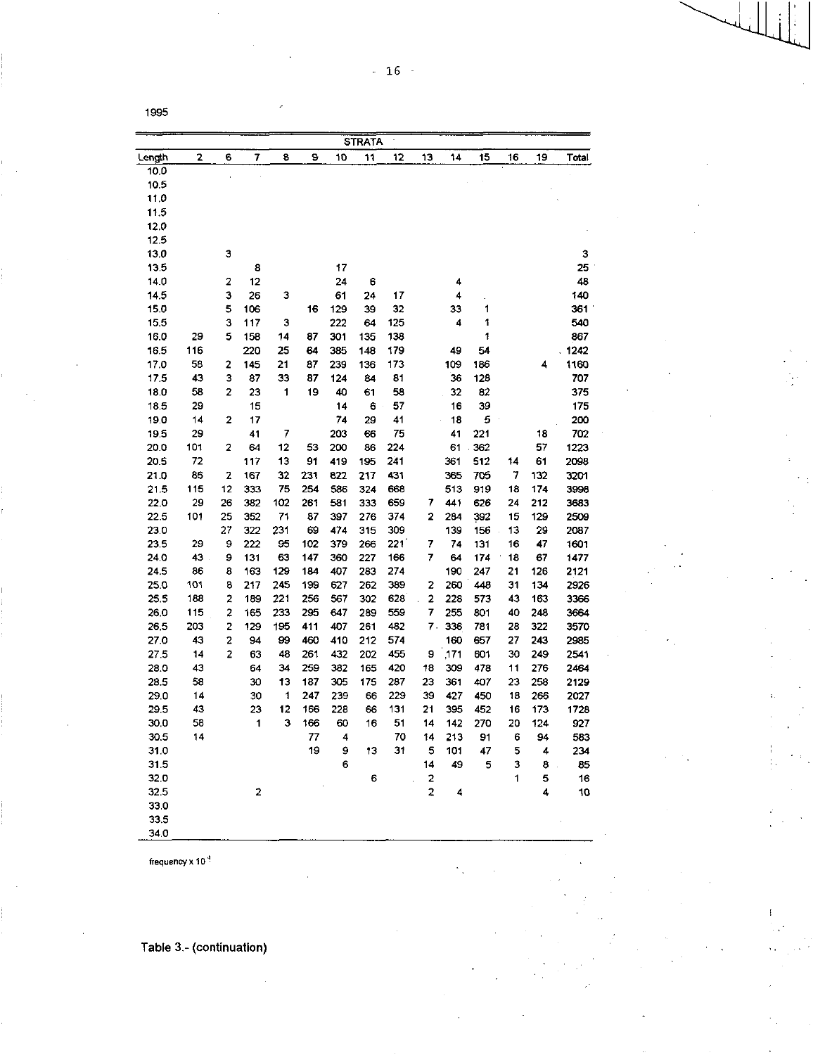|       |                 |    |             |     |     |     | <b>STRATA</b> |     |    |      |     |    |     |       |
|-------|-----------------|----|-------------|-----|-----|-----|---------------|-----|----|------|-----|----|-----|-------|
| ength | 2               | 6  | 7           | 8   | 9   | 10  | 11            | 12  | 13 | 14   | 15  | 16 | 19  | Total |
| 10.0  |                 |    |             |     |     |     |               |     |    |      |     |    |     |       |
| 10.5  |                 |    |             |     |     |     |               |     |    |      |     |    |     |       |
| 11.0  |                 |    |             |     |     |     |               |     |    |      |     |    |     |       |
| 11.5  |                 |    |             |     |     |     |               |     |    |      |     |    |     |       |
| 12.0  |                 |    |             |     |     |     |               |     |    |      |     |    |     |       |
| 12.5  |                 |    |             |     |     |     |               |     |    |      |     |    |     |       |
| 13.0  |                 | з  |             |     |     |     |               |     |    |      |     |    |     | 3     |
| 13.5  |                 |    | 8           |     |     | 17  |               |     |    |      |     |    |     | 25    |
| 14.0  |                 | 2  | 12          |     |     | 24  | 6             |     |    | 4    |     |    |     | 48    |
| 14.5  |                 | 3  | 26          | 3   |     | 61  | 24            | 17  |    | 4    |     |    |     | 140   |
| 15.0  |                 | 5  | 106         |     | 16  | 129 | 39            | 32  |    | 33   | 1   |    |     | 361   |
| 15,5  |                 | З  | 117         | 3   |     | 222 | 64            | 125 |    | 4    | 1   |    |     | 540   |
| 16.0  | 29              | 5  | 158         | 14  | 87  | 301 | 135           | 138 |    |      | 1   |    |     | 867   |
| 16.5  | 116             |    | 220         | 25  | 64  | 385 | 148           | 179 |    | 49   | 54  |    |     | 1242  |
| 17.0  | 58              | 2  | 145         | 21  | 87  | 239 | 136           | 173 |    | 109  | 186 |    | 4   | 1160  |
| 17.5  | 43              | 3  | 87          | 33  | 87  | 124 | 84            | 81  |    | 36   | 128 |    |     | 707   |
| 18.0  | 58              | 2  | 23          | 1   | 19  | 40  | 61            | 58  |    | 32   | 82  |    |     | 375   |
| 18.5  | 29              |    | 15          |     |     | 14  | 6             | 57  |    | 16   | 39  |    |     | 175   |
| 19.0  | 14              | 2  | 17          |     |     | 74  | 29            | 41  |    | 18   | 5   |    |     | 200   |
| 19.5  | 29              |    | 41          | 7   |     | 203 | 66            | 75  |    | 41   | 221 |    | 18  | 702   |
| 20.0  | 101             | 2  | 64          | 12  | 53  | 200 | 86            | 224 |    | 61   | 362 |    | 57  | 1223  |
| 20.5  | 72              |    | 117         | 13  | 91  | 419 | 195           | 241 |    | 361  | 512 | 14 | 61  | 2098  |
| 21.0  | 86              | 2  | 167         | 32  | 231 | 822 | 217           | 431 |    | 365  | 705 | 7  | 132 | 3201  |
| 21.5  | 115             | 12 | 333         | 75  | 254 | 586 | 324           | 668 |    | 513  | 919 | 18 | 174 | 3998  |
| 22.0  | 29              | 26 | 382         | 102 | 261 | 581 | 333           | 659 | 7  | 441  | 626 | 24 | 212 | 3683  |
| 22.5  | 101             | 25 | 352         | 71  | 87  | 397 | 276           | 374 | 2  | 284  | 392 | 15 | 129 | 2509  |
| 23.0  |                 | 27 | 322         | 231 | 69  | 474 | 315           | 309 |    | 139  | 156 | 13 | 29  | 2087  |
| 23.5  | 29              | 9  | 222         | 95  | 102 | 379 | 266           | 221 | 7  | 74   | 131 | 16 | 47  | 1601  |
| 24.0  | 43              | 9  | 131         | 63  | 147 | 360 | 227           | 166 | 7  | 64   | 174 | 18 | 67  | 1477  |
| 24.5  | 86              | 8  | 163         | 129 | 184 | 407 | 283           | 274 |    | 190  | 247 | 21 | 126 | 2121  |
| 25.0  | 10 <sub>1</sub> | 8  | 217         | 245 | 199 | 627 | 262           | 389 | 2  | 260  | 448 | 31 | 134 | 2926  |
| 25.5  | 188             | 2  | 189         | 221 | 256 | 567 | 302           | 628 | 2  | 228  | 573 | 43 | 163 | 3366  |
| 26.0  | 115             | 2  | 165         | 233 | 295 | 647 | 289           | 559 | 7  | 255  | 801 | 40 | 248 | 3664  |
| 26,5  | 203             | 2  | 129         | 195 | 411 | 407 | 261           | 482 | 7. | 336  | 781 | 28 | 322 | 3570  |
| 27.0  | 43              | 2  | 94          | 99  | 460 | 410 | 212           | 574 |    | 160  | 657 | 27 | 243 | 2985  |
| 27.5  | 14              | 2  | 63          | 48  | 261 | 432 | 202           | 455 | 9  | ,171 | 601 | 30 | 249 | 2541  |
| 28.0  | 43              |    | 64          | 34  | 259 | 382 | 165           | 420 | 18 | 309  | 478 | 11 | 276 | 2464  |
| 28.5  | 58              |    | 30          | 13  | 187 | 305 | 175           | 287 | 23 | 361  | 407 | 23 | 258 | 2129  |
| 29.0  | 14              |    | 30          | 1   | 247 | 239 | 66            | 229 | 39 | 427  | 450 | 18 | 266 | 2027  |
| 29.5  | 43              |    | 23          | 12  | 166 | 228 | 66            | 131 | 21 | 395  | 452 | 16 | 173 | 1728  |
| 30,0  | 58              |    | 1           | 3   | 166 | 60  | 16            | 51  | 14 | 142  | 270 | 20 | 124 | 927   |
| 30.5  | 14              |    |             |     | 77  | 4   |               | 70  | 14 | 213  | 91  | 6  | 94  | 583   |
| 31.0  |                 |    |             |     | 19  | 9   | 13            | 31  | 5  | 101  | 47  | 5  | 4   | 234   |
| 31.5  |                 |    |             |     |     | 6   |               |     | 14 | 49   | 5   | 3  | 8   | 85    |
| 32.0  |                 |    |             |     |     |     | 6             |     | 2  |      |     | 1  | 5   | 16    |
| 32.5  |                 |    | $\mathbf 2$ |     |     |     |               |     | 2  | 4    |     |    | 4   | 10    |
| 33.0  |                 |    |             |     |     |     |               |     |    |      |     |    |     |       |
| 33.5  |                 |    |             |     |     |     |               |     |    |      |     |    |     |       |
| 34.0  |                 |    |             |     |     |     |               |     |    |      |     |    |     |       |

frequency x 10 <sup>4</sup>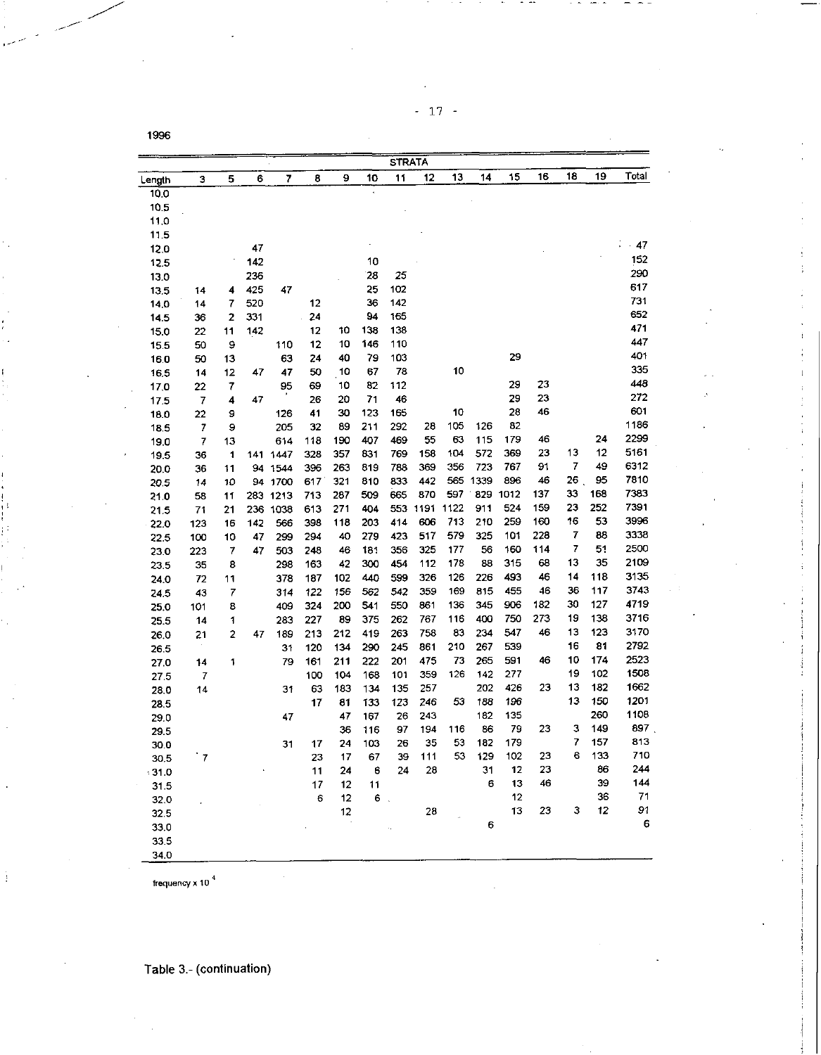- 17 -

|              |                         |    |     |          |     |     |            | STRATA     |          |      |      |      |     |    |     |       |
|--------------|-------------------------|----|-----|----------|-----|-----|------------|------------|----------|------|------|------|-----|----|-----|-------|
| Length       | 3                       | 5  | 6   | 7        | 8   | 9   | 10         | 11         | 12       | 13   | 14   | 15   | 16  | 18 | 19  | Total |
| 10.0         |                         |    |     |          |     |     |            |            |          |      |      |      |     |    |     |       |
| 10.5         |                         |    |     |          |     |     |            |            |          |      |      |      |     |    |     |       |
| 11.0         |                         |    |     |          |     |     |            |            |          |      |      |      |     |    |     |       |
| 11.5         |                         |    |     |          |     |     |            |            |          |      |      |      |     |    |     |       |
| 12,0         |                         |    | 47  |          |     |     |            |            |          |      |      |      |     |    |     | $-47$ |
| 12.5         |                         |    | 142 |          |     |     | 10         |            |          |      |      |      |     |    |     | 152   |
| 13.0         |                         |    | 236 |          |     |     | 28         | 25         |          |      |      |      |     |    |     | 290   |
|              |                         | 4  | 425 | 47       |     |     | 25         | 102        |          |      |      |      |     |    |     | 617   |
| 13.5<br>14.0 | 14<br>14                | 7  | 520 |          | 12  |     | 36         | 142        |          |      |      |      |     |    |     | 731   |
| 14.5         | 36                      | 2  | 331 |          | 24  |     | 94         | 165        |          |      |      |      |     |    |     | 652   |
|              | 22                      | 11 | 142 |          | 12  | 10  | 138        | 138        |          |      |      |      |     |    |     | 471   |
| 15.0         | 50                      | 9  |     | 110      | 12  | 10  | 146        | 110        |          |      |      |      |     |    |     | 447   |
| 15.5         |                         |    |     | 63       | 24  | 40  | 79         | 103        |          |      |      | 29   |     |    |     | 401   |
| 16.0         | 50                      | 13 | 47  | 47       | 50  | 10  | 67         | 78         |          | 10   |      |      |     |    |     | 335   |
| 16,5         | 14                      | 12 |     |          |     | 10  | 82         | 112        |          |      |      | 29   | 23  |    |     | 443   |
| 17,0         | 22                      | 7  |     | 95       | 69  | 20  | 71         | 46         |          |      |      | 29   | 23  |    |     | 272   |
| 17.5         | 7                       | 4  | 47  |          | 26  | 30  |            |            |          | 10   |      | 28   | 46  |    |     | 601   |
| 18.0         | 22                      | 9  |     | 126      | 41  | 89  | 123<br>211 | 165<br>292 | 28       | 105  | 126  | 82   |     |    |     | 1186  |
| 18.5         | 7                       | 9  |     | 205      | 32  | 190 | 407        | 469        | 55       | 63   | 115  | 179  | 46  |    | 24  | 2299  |
| 19.0         | $\overline{\mathbf{r}}$ | 13 |     | 614      | 118 | 357 | 831        | 769        | 158      | 104  | 572  | 369  | 23  | 13 | 12  | 5161  |
| 19.5         | 36                      | 1  |     | 141 1447 | 328 | 263 | 819        | 788        | 369      | 356  | 723  | 767  | 91  | 7  | 49  | 6312  |
| 20.0         | 36                      | 11 | 94  | 1544     | 396 |     | 810        | 833        | 442      | 565  | 1339 | 896  | 46  | 26 | 95  | 7810  |
| 20.5         | 14                      | 10 | 94  | 1700     | 617 | 321 |            | 665        | 870      | 597  | 829  | 1012 | 137 | 33 | 168 | 7383  |
| 21.0         | 58                      | 11 | 283 | 1213     | 713 | 287 | 509        |            | 553 1191 | 1122 | 911  | 524  | 159 | 23 | 252 | 7391  |
| 21.5         | 71                      | 21 |     | 236 1038 | 613 | 271 | 404        |            | 606      | 713  | 210  | 259  | 160 | 16 | 53  | 3996  |
| 22.0         | 123                     | 16 | 142 | 566      | 398 | 118 | 203        | 414        | 517      | 579  |      |      | 228 | 7  | 88  | 3338  |
| 22.5         | 100                     | 10 | 47  | 299      | 294 | 40  | 279        | 423        |          |      | 325  | 101  |     | 7  | 51  | 2500  |
| 23.0         | 223                     | 7  | 47  | 503      | 248 | 46  | 181        | 356        | 325      | 177  | 56   | 160  | 114 | 13 | 35  | 2109  |
| 23.5         | 35                      | 8  |     | 298      | 163 | 42  | 300        | 454        | 112      | 178  | 83   | 315  | 68  |    |     | 3135  |
| 24.0         | 72                      | 11 |     | 378      | 187 | 102 | 440        | 599        | 326      | 126  | 226  | 493  | 46  | 14 | 118 | 3743  |
| 24.5         | 43                      | 7  |     | 314      | 122 | 156 | 562        | 542        | 359      | 169  | 815  | 455  | 46  | 36 | 117 |       |
| 25.0         | 101                     | 8  |     | 409      | 324 | 200 | 541        | 550        | 861      | 136  | 345  | 906  | 182 | 30 | 127 | 4719  |
| 25.5         | 14                      | 1  |     | 283      | 227 | 89  | 375        | 262        | 767      | 116  | 400  | 750  | 273 | 19 | 138 | 3716  |
| 26.0         | 21                      | 2  | 47  | 189      | 213 | 212 | 419        | 263        | 758      | 83   | 234  | 547  | 46  | 13 | 123 | 3170  |
| 26.5         |                         |    |     | 31       | 120 | 134 | 290        | 245        | 861      | 210  | 267  | 539  |     | 16 | 81  | 2792  |
| 27.0         | 14                      | 1  |     | 79       | 161 | 211 | 222        | 201        | 475      | 73   | 265  | 591  | 46  | 10 | 174 | 2523  |
| 27.5         | 7                       |    |     |          | 100 | 104 | 168        | 101        | 359      | 126  | 142  | 277  |     | 19 | 102 | 1508  |
| 28.0         | 14                      |    |     | 31       | 63  | 183 | 134        | 135        | 257      |      | 202  | 426  | 23  | 13 | 182 | 1662  |
| 28,5         |                         |    |     |          | 17  | 81  | 133        | 123        | 246      | 53   | 188  | 196  |     | 13 | 150 | 1201  |
| 29.0         |                         |    |     | 47       |     | 47  | 167        | 26         | 243      |      | 182  | 135  |     |    | 260 | 1108  |
| 29.5         |                         |    |     |          |     | 36  | 116        | 97         | 194      | 116  | 86   | 79   | 23  | з  | 149 | 897   |
| 30.0         |                         |    |     | 31       | 17  | 24  | 103        | 26         | 35       | 53   | 182  | 179  |     | 7  | 157 | 813   |
| 30.5         | `7                      |    |     |          | 23  | 17  | 67         | 39         | 111      | 53   | 129  | 102  | 23  | 6  | 133 | 710   |
| $-31.0$      |                         |    |     |          | 11  | 24  | 6          | 24         | 28       |      | 31   | 12   | 23  |    | 86  | 244   |
| 31.5         |                         |    |     |          | 17  | 12  | 11         |            |          |      | 6    | 13   | 46  |    | 39  | 144   |
| 32.0         |                         |    |     |          | 6   | 12  | $6$ .      |            |          |      |      | 12   |     |    | 36  | 71    |
| 32.5         |                         |    |     |          |     | 12  |            |            | 28       |      |      | 13   | 23  | з  | 12  | 91    |
| 33.0         |                         |    |     |          |     |     |            |            |          |      | 6    |      |     |    |     | 6     |
| 33.5         |                         |    |     |          |     |     |            |            |          |      |      |      |     |    |     |       |
| 34.0         |                         |    |     |          |     |     |            |            |          |      |      |      |     |    |     |       |

frequency x 10<sup>4</sup>

 $\ddot{z}$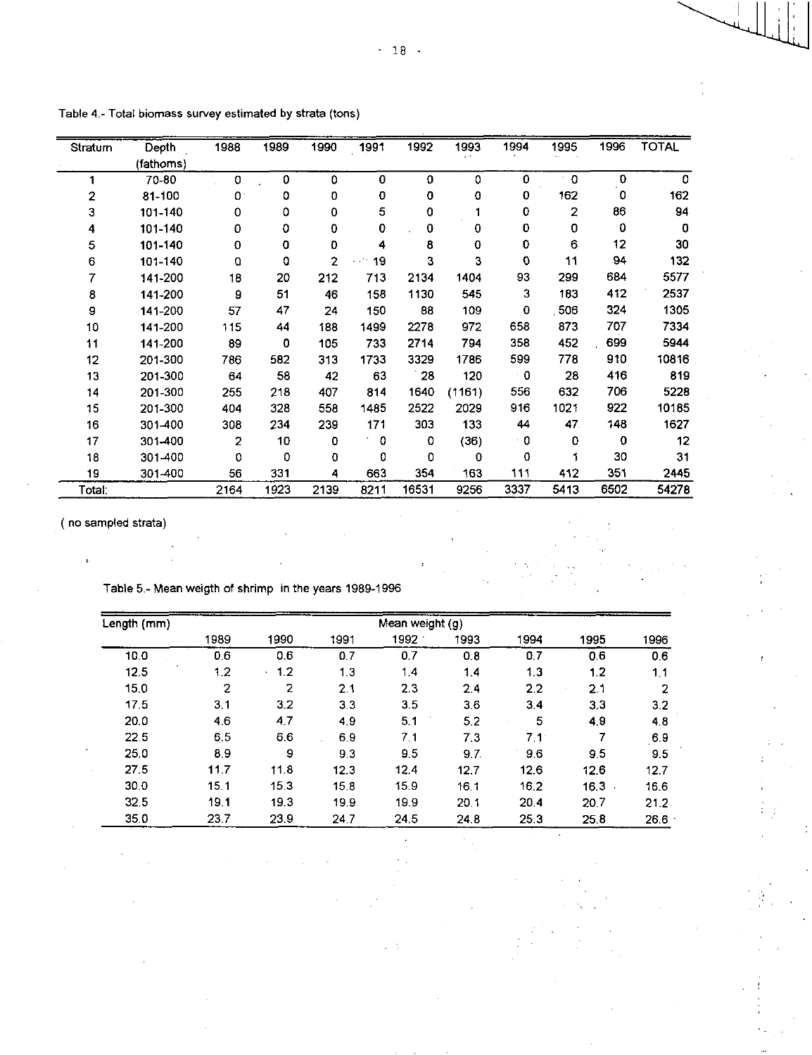| Stratum        | Depth     | 1988           | 1989 | 1990 | 1991        | 1992  | 1993        | 1994         | 1995                    | 1996                | <b>TOTAL</b> |
|----------------|-----------|----------------|------|------|-------------|-------|-------------|--------------|-------------------------|---------------------|--------------|
|                | (fathoms) |                |      |      |             |       |             |              |                         |                     |              |
|                | 70-80     | 0              | 0    | 0    | 0           | 0     | 0           | $\Omega$     | $\Omega$                | $\mathbf 0$         | 0            |
| $\overline{2}$ | 81-100    | 0.             | 0    | 0    | 0           | 0     | 0           | 0            | 162                     | 0                   | 162          |
| 3              | 101-140   | 0              | 0    | 0    | 5           | 0     |             | 0            | $\overline{\mathbf{c}}$ | 86                  | 94           |
| 4              | 101-140   | 0              | 0    | 0    | 0           | 0     | 0           | 0            | 0                       | 0                   | $\mathbf 0$  |
| 5              | 101-140   | 0              | 0    | 0    | 4           | 8     | 0           | 0            | 6                       | 12                  | 30           |
| 6              | 101-140   | 0              | 0    | 2    | 19<br>e chr | 3     | 3           | O            | 11                      | 94                  | 132          |
| 7              | 141-200   | 18             | 20   | 212  | 713         | 2134  | 1404        | 93           | 299                     | 684                 | 5577         |
| 8              | 141-200   | 9              | 51   | 46   | 158         | 1130  | 545         | 3            | 183                     | 412                 | 2537         |
| 9              | 141-200   | 57             | 47   | 24   | 150         | 88    | 109         | 0            | 506                     | 324                 | 1305         |
| 10             | 141-200   | 115            | 44   | 188  | 1499        | 2278  | 972         | 658          | 873                     | 707                 | 7334         |
| 11             | 141-200   | 89             | 0    | 105  | 733         | 2714  | 794         | 358          | 452                     | 699                 | 5944         |
| 12             | 201-300   | 786            | 582  | 313  | 1733        | 3329  | 1786        | 599          | 778                     | 910                 | 10816        |
| 13             | 201-300   | 64             | 58   | 42   | 63          | 28    | 120         | $^{\circ}$ 0 | 28                      | 416                 | 819          |
| 14             | 201-300   | 255            | 218  | 407  | 814         | 1640  | (1161)      | 556          | 632                     | 706                 | 5228         |
| 15             | 201-300   | 404            | 328  | 558  | 1485        | 2522  | 2029        | 916          | 1021                    | 922                 | 10185        |
| 16             | 301-400   | 308            | 234  | 239  | 171         | 303   | 133         | 44           | 47                      | 148                 | 1627         |
| 17             | 301-400   | $\overline{2}$ | 10   | 0    | 0           | 0     | (36)        | ۰O           | $\mathbf 0$             | $\ddot{\mathbf{0}}$ | 12           |
| 18             | 301-400   | 0              | 0    | 0    | 0           | 0     | $\mathbf 0$ | 0            |                         | 30                  | 31           |
| 19             | 301-400   | 56             | 331  | 4    | 663         | 354   | 163         | 111          | 412                     | 351                 | 2445         |
| Total.         |           | 2164           | 1923 | 2139 | 8211        | 16531 | 9256        | 3337         | 5413                    | 6502                | 54278        |

Table 4.- Total biomass survey estimated by strata (tons)

( no sampled strata)

j.

Table 5.- Mean weigth of shrimp in the years 1989-1996

| Length (mm) |      |      |       | Mean weight (g) |      |               |      |      |
|-------------|------|------|-------|-----------------|------|---------------|------|------|
|             | 1989 | 1990 | 1991  | 1992            | 1993 | 1994          | 1995 | 1996 |
| 10.0        | 0.6  | 0.6  | 0.7   | 0.7             | 0.8  | 0.7           | 0.6  | 06   |
| 12.5        | 1.2  | 1.2  | 1,3   | 1.4             | 1.4  | 1.3           | 1.2  | 1.1  |
| 15.0        | 2    | 2    | 2.1   | 2.3             | 2.4  | 2.2           | 2.1  | 2    |
| 17.5        | 3.1  | 3.2  | 3.3   | 3.5             | 3.6  | 3.4           | 3.3  | 3.2  |
| 20.0        | 4.6  | 4.7  | 4.9   | 5.1             | 5.2  | 5             | 4.9  | 48   |
| 22.5        | 6.5  | 6.6  | 6.9   | 7.1             | 7.3  | $7.1^{\circ}$ |      | 6.9  |
| 25.0        | 89   | 9    | 9.3   | 9.5             | 9.7. | 9.6           | 9.5  | 95   |
| 27.5        | 11.7 | 11.8 | 12.3  | 12.4            | 12.7 | 12.6          | 12.6 | 12.7 |
| 30.0        | 15.1 | 15.3 | 15.8  | 15.9            | 16.1 | 16.2          | 16.3 | 16.6 |
| 32.5        | 19.1 | 19.3 | 19,9. | 19.9            | 201  | 20.4          | 20.7 | 21.2 |
| 35.0        | 23.7 | 23.9 | 24.7  | 24.5            | 24.8 | 25.3          | 25.8 | 26.6 |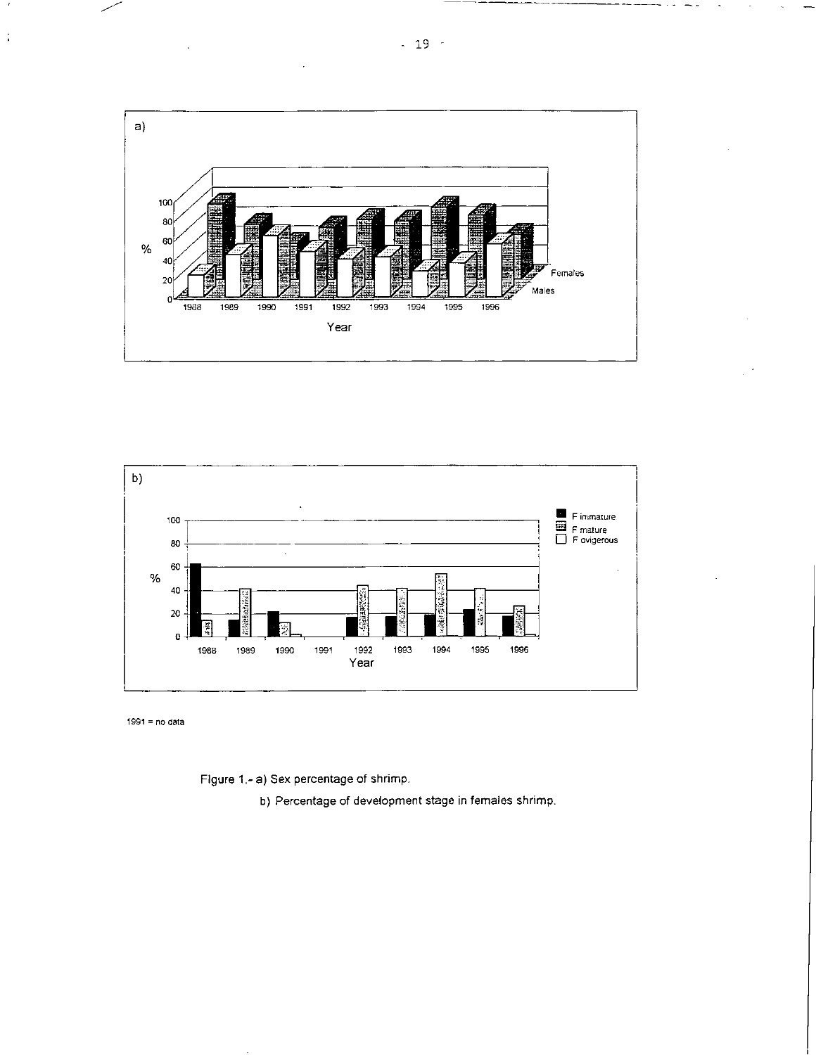



 $1991 = no data$ 

 $\frac{1}{\delta}$ 

Figure 1.- a) Sex percentage of shrimp.

b) Percentage of development stage in females shrimp.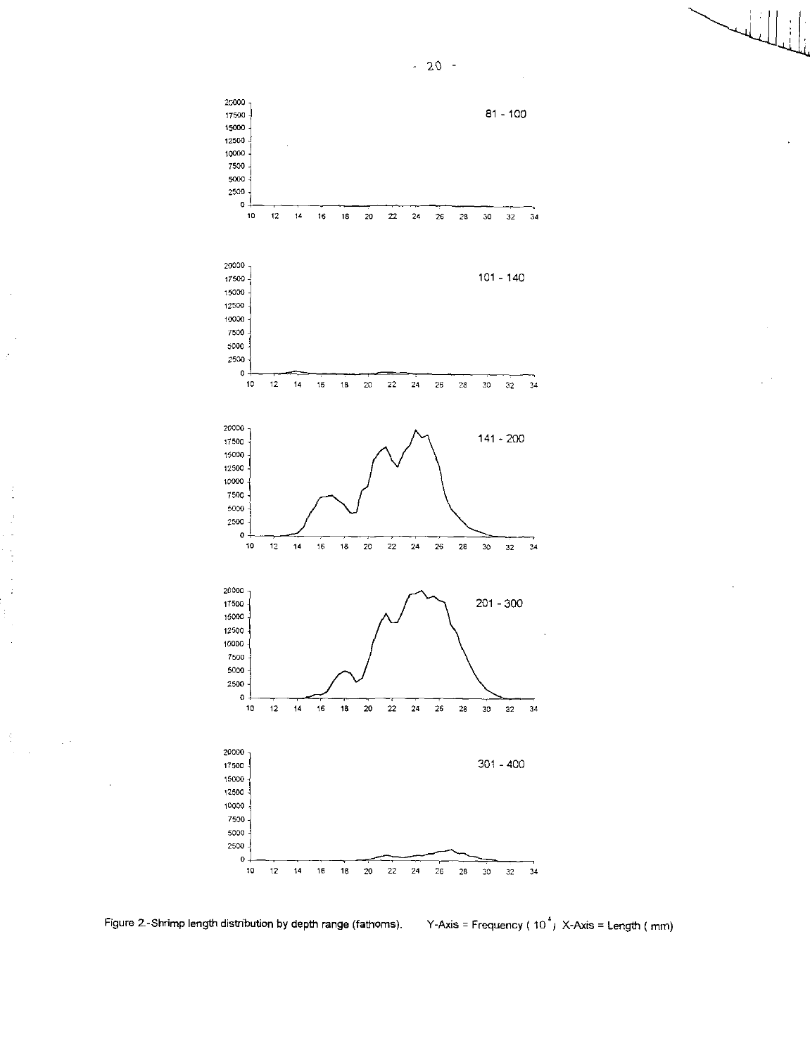

k,

 $\frac{1}{2}$ 

 $\ddot{\phantom{0}}$  $\frac{1}{2}$ 

J.

 $\frac{d}{dt}$ 

 $-20 -$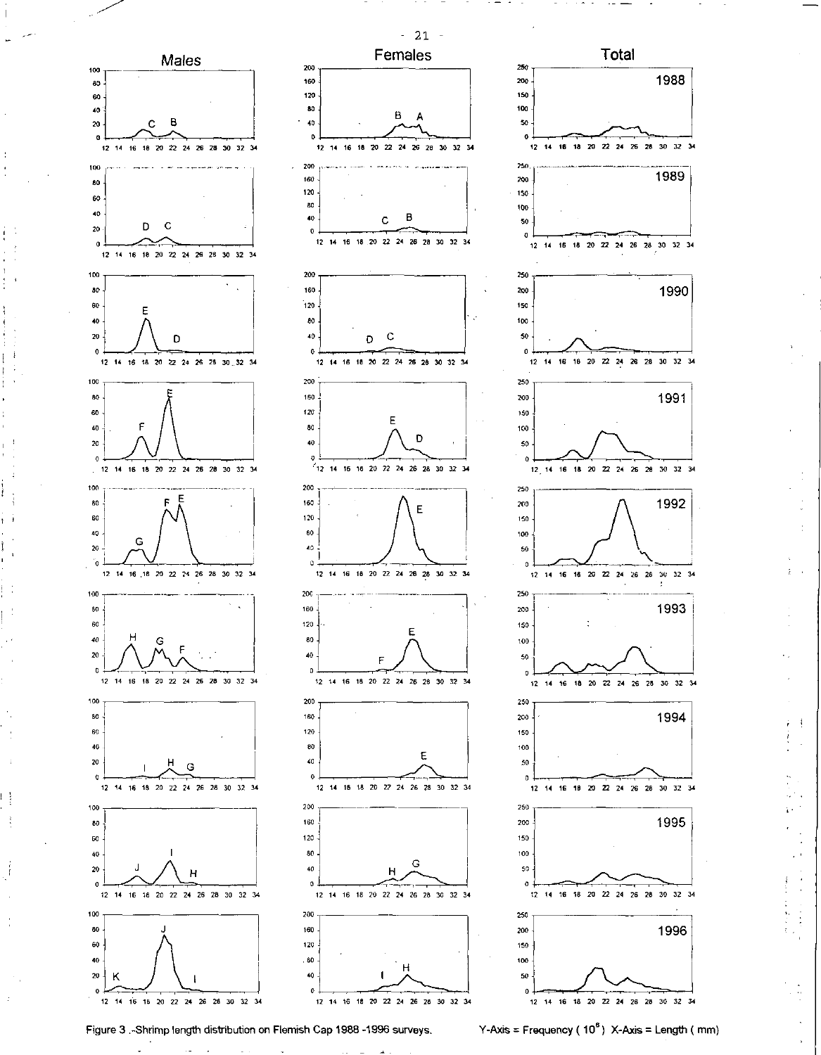

Figure 3 .-Shrimp length distribution on Flemish Cap 1988 -1996 surveys. Y-Axis = Frequency (10<sup>6</sup>) X-Axis = Length (mm)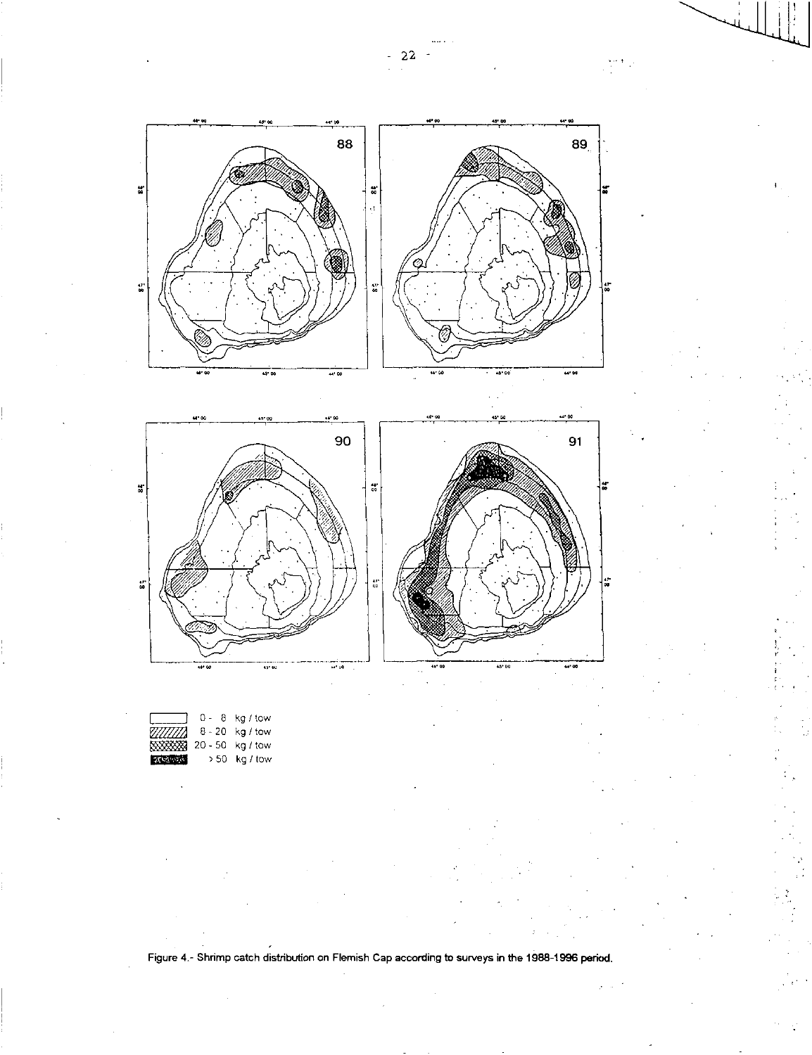

Figure 4.- Shrimp catch distribution on Flemish Cap according to surveys in the 1988-1996 period.